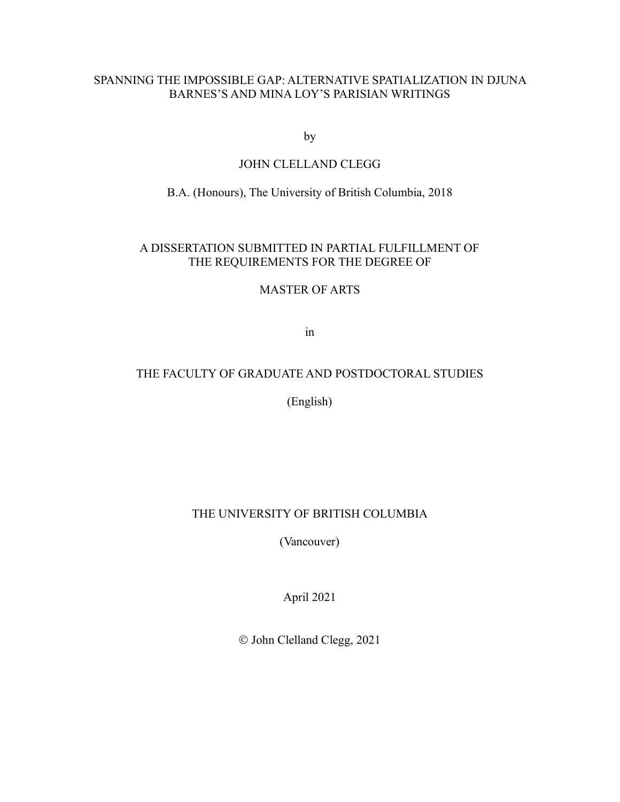## SPANNING THE IMPOSSIBLE GAP: ALTERNATIVE SPATIALIZATION IN DJUNA BARNES'S AND MINA LOY'S PARISIAN WRITINGS

by

## JOHN CLELLAND CLEGG

# B.A. (Honours), The University of British Columbia, 2018

## A DISSERTATION SUBMITTED IN PARTIAL FULFILLMENT OF THE REQUIREMENTS FOR THE DEGREE OF

## MASTER OF ARTS

in

# THE FACULTY OF GRADUATE AND POSTDOCTORAL STUDIES

(English)

## THE UNIVERSITY OF BRITISH COLUMBIA

(Vancouver)

April 2021

© John Clelland Clegg, 2021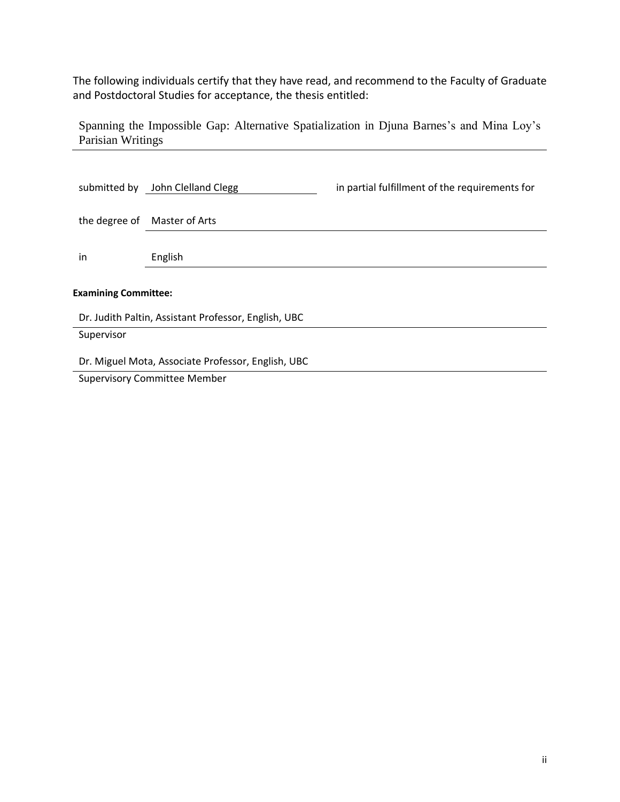The following individuals certify that they have read, and recommend to the Faculty of Graduate and Postdoctoral Studies for acceptance, the thesis entitled:

Spanning the Impossible Gap: Alternative Spatialization in Djuna Barnes's and Mina Loy's Parisian Writings

| submitted by                                         | John Clelland Clegg          | in partial fulfillment of the requirements for |
|------------------------------------------------------|------------------------------|------------------------------------------------|
|                                                      | the degree of Master of Arts |                                                |
| in                                                   | English                      |                                                |
| <b>Examining Committee:</b>                          |                              |                                                |
| Dr. Judith Paltin, Assistant Professor, English, UBC |                              |                                                |
| Supervisor                                           |                              |                                                |
| Dr. Miguel Mota, Associate Professor, English, UBC   |                              |                                                |
| <b>Supervisory Committee Member</b>                  |                              |                                                |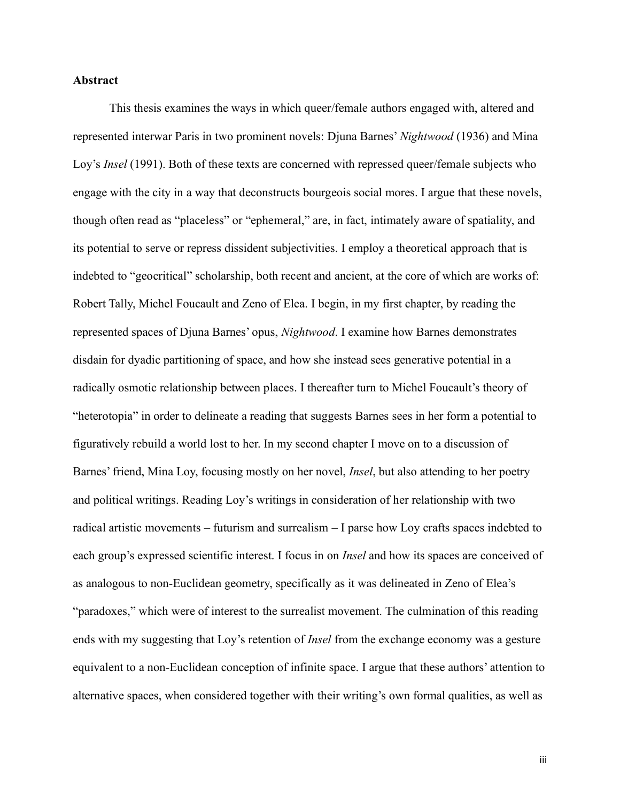### **Abstract**

This thesis examines the ways in which queer/female authors engaged with, altered and represented interwar Paris in two prominent novels: Djuna Barnes' *Nightwood* (1936) and Mina Loy's *Insel* (1991). Both of these texts are concerned with repressed queer/female subjects who engage with the city in a way that deconstructs bourgeois social mores. I argue that these novels, though often read as "placeless" or "ephemeral," are, in fact, intimately aware of spatiality, and its potential to serve or repress dissident subjectivities. I employ a theoretical approach that is indebted to "geocritical" scholarship, both recent and ancient, at the core of which are works of: Robert Tally, Michel Foucault and Zeno of Elea. I begin, in my first chapter, by reading the represented spaces of Djuna Barnes' opus, *Nightwood*. I examine how Barnes demonstrates disdain for dyadic partitioning of space, and how she instead sees generative potential in a radically osmotic relationship between places. I thereafter turn to Michel Foucault's theory of "heterotopia" in order to delineate a reading that suggests Barnes sees in her form a potential to figuratively rebuild a world lost to her. In my second chapter I move on to a discussion of Barnes' friend, Mina Loy, focusing mostly on her novel, *Insel*, but also attending to her poetry and political writings. Reading Loy's writings in consideration of her relationship with two radical artistic movements – futurism and surrealism – I parse how Loy crafts spaces indebted to each group's expressed scientific interest. I focus in on *Insel* and how its spaces are conceived of as analogous to non-Euclidean geometry, specifically as it was delineated in Zeno of Elea's "paradoxes," which were of interest to the surrealist movement. The culmination of this reading ends with my suggesting that Loy's retention of *Insel* from the exchange economy was a gesture equivalent to a non-Euclidean conception of infinite space. I argue that these authors' attention to alternative spaces, when considered together with their writing's own formal qualities, as well as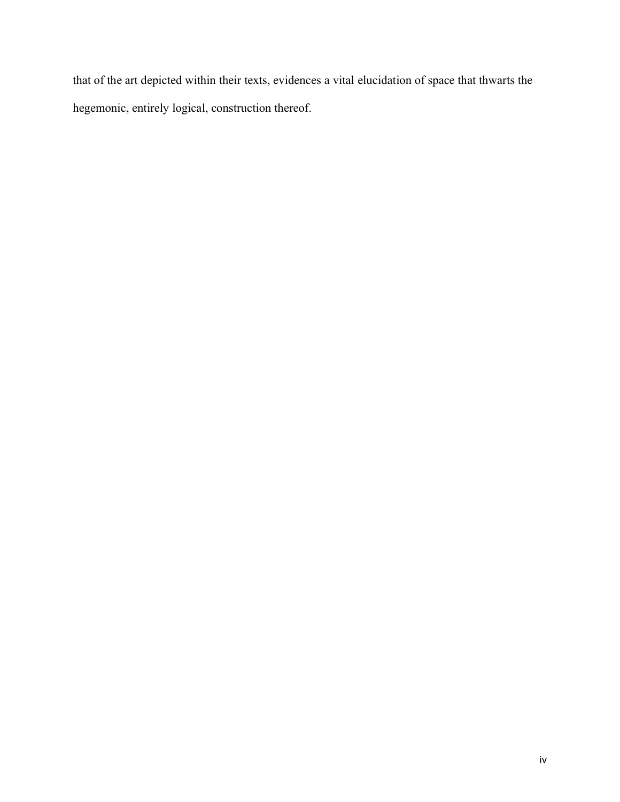that of the art depicted within their texts, evidences a vital elucidation of space that thwarts the hegemonic, entirely logical, construction thereof.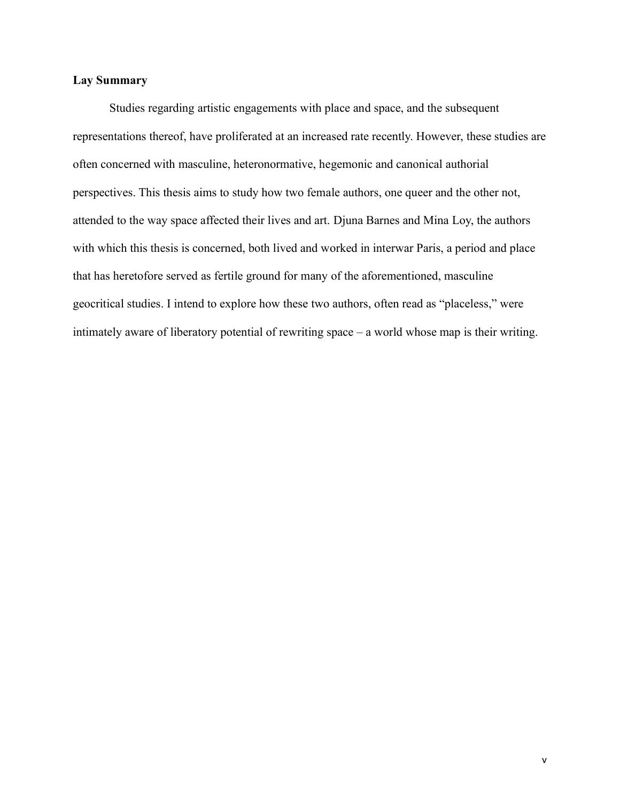### **Lay Summary**

Studies regarding artistic engagements with place and space, and the subsequent representations thereof, have proliferated at an increased rate recently. However, these studies are often concerned with masculine, heteronormative, hegemonic and canonical authorial perspectives. This thesis aims to study how two female authors, one queer and the other not, attended to the way space affected their lives and art. Djuna Barnes and Mina Loy, the authors with which this thesis is concerned, both lived and worked in interwar Paris, a period and place that has heretofore served as fertile ground for many of the aforementioned, masculine geocritical studies. I intend to explore how these two authors, often read as "placeless," were intimately aware of liberatory potential of rewriting space – a world whose map is their writing.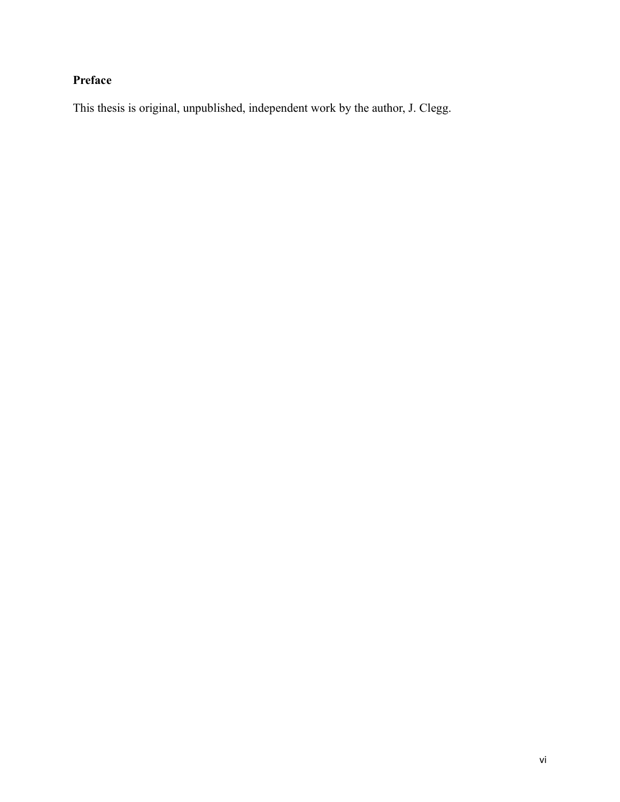# **Preface**

This thesis is original, unpublished, independent work by the author, J. Clegg.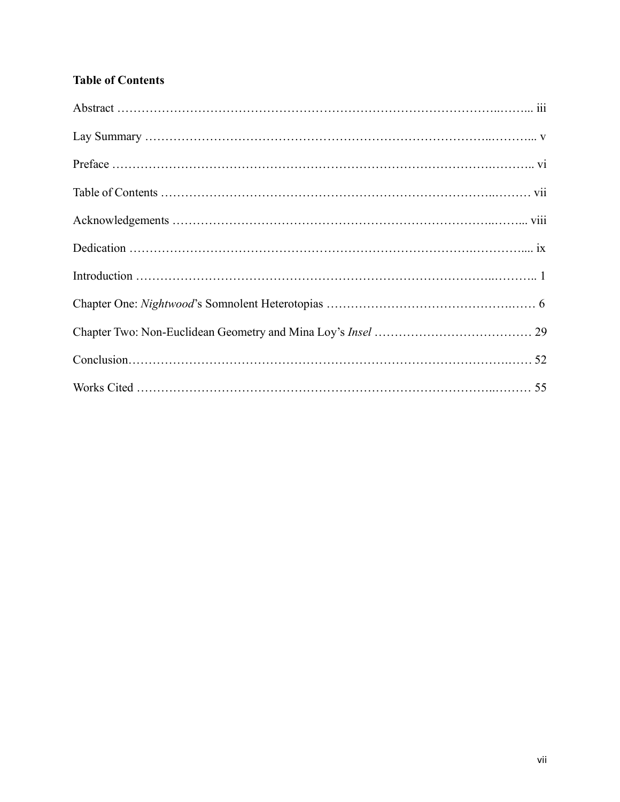# **Table of Contents**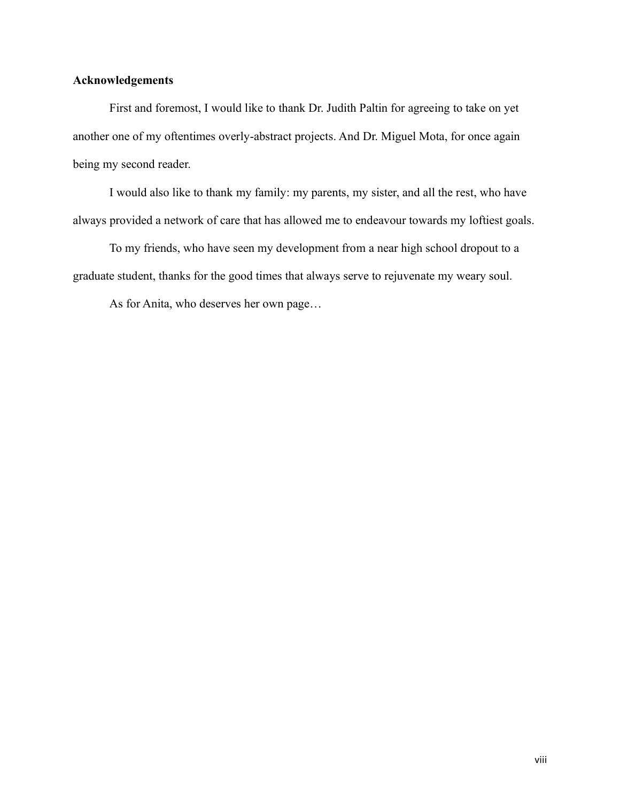## **Acknowledgements**

First and foremost, I would like to thank Dr. Judith Paltin for agreeing to take on yet another one of my oftentimes overly-abstract projects. And Dr. Miguel Mota, for once again being my second reader.

I would also like to thank my family: my parents, my sister, and all the rest, who have always provided a network of care that has allowed me to endeavour towards my loftiest goals.

To my friends, who have seen my development from a near high school dropout to a graduate student, thanks for the good times that always serve to rejuvenate my weary soul.

As for Anita, who deserves her own page…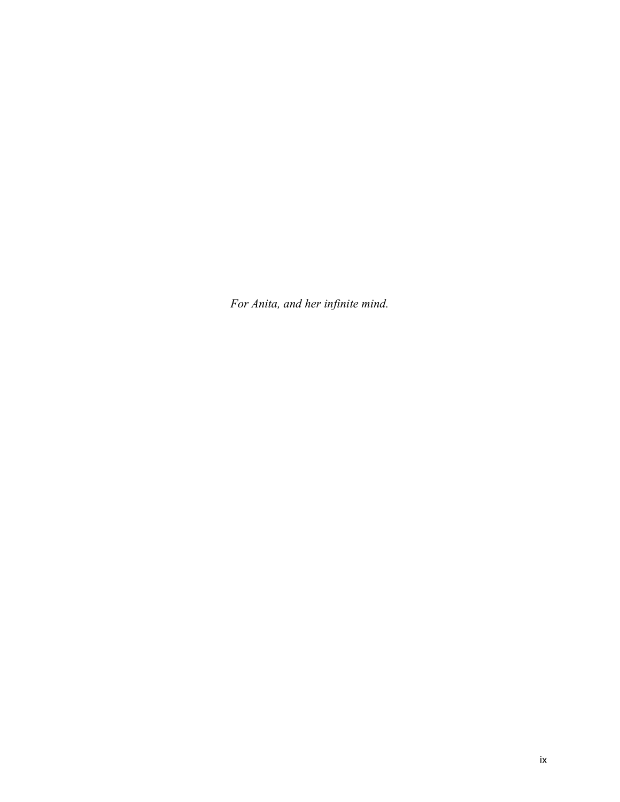*For Anita, and her infinite mind.*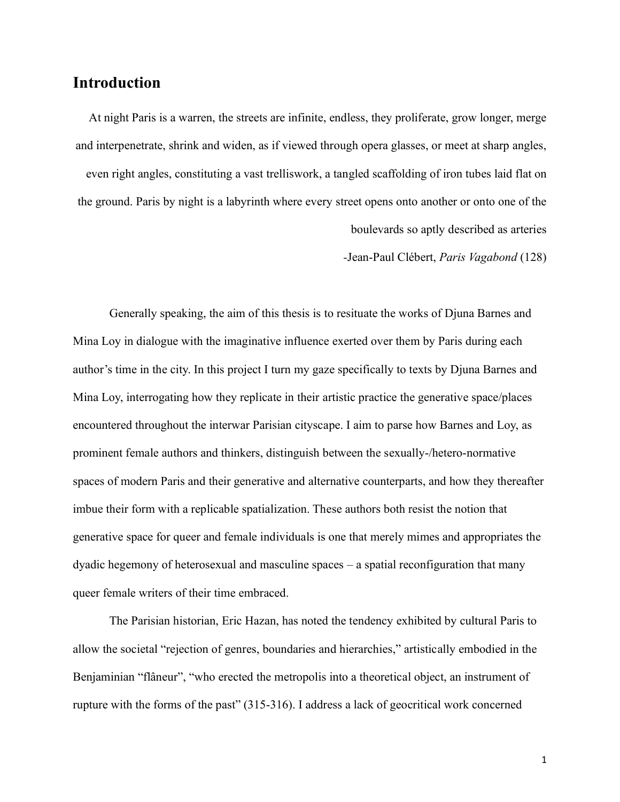# **Introduction**

At night Paris is a warren, the streets are infinite, endless, they proliferate, grow longer, merge and interpenetrate, shrink and widen, as if viewed through opera glasses, or meet at sharp angles, even right angles, constituting a vast trelliswork, a tangled scaffolding of iron tubes laid flat on the ground. Paris by night is a labyrinth where every street opens onto another or onto one of the boulevards so aptly described as arteries

*-*Jean-Paul Clébert, *Paris Vagabond* (128)

Generally speaking, the aim of this thesis is to resituate the works of Djuna Barnes and Mina Loy in dialogue with the imaginative influence exerted over them by Paris during each author's time in the city. In this project I turn my gaze specifically to texts by Djuna Barnes and Mina Loy, interrogating how they replicate in their artistic practice the generative space/places encountered throughout the interwar Parisian cityscape. I aim to parse how Barnes and Loy, as prominent female authors and thinkers, distinguish between the sexually-/hetero-normative spaces of modern Paris and their generative and alternative counterparts, and how they thereafter imbue their form with a replicable spatialization. These authors both resist the notion that generative space for queer and female individuals is one that merely mimes and appropriates the dyadic hegemony of heterosexual and masculine spaces – a spatial reconfiguration that many queer female writers of their time embraced.

The Parisian historian, Eric Hazan, has noted the tendency exhibited by cultural Paris to allow the societal "rejection of genres, boundaries and hierarchies," artistically embodied in the Benjaminian "flâneur", "who erected the metropolis into a theoretical object, an instrument of rupture with the forms of the past" (315-316). I address a lack of geocritical work concerned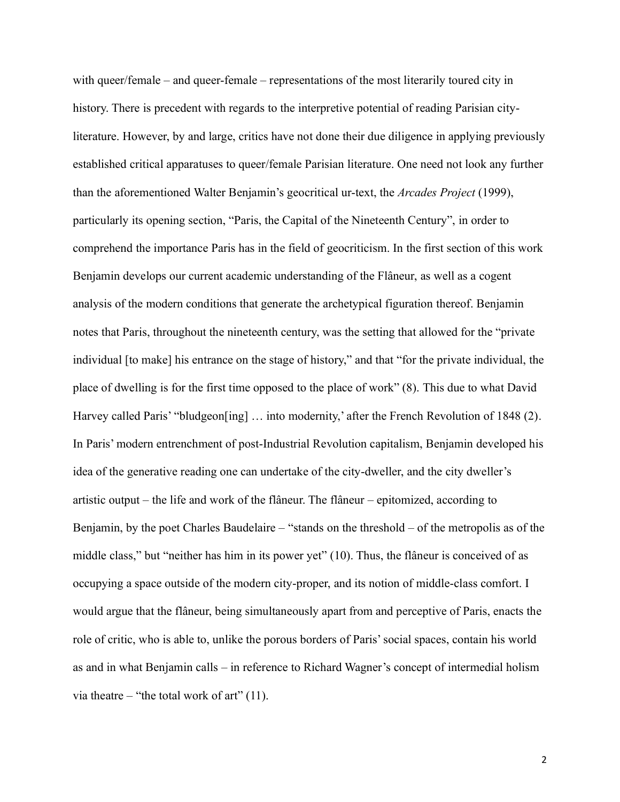with queer/female – and queer-female – representations of the most literarily toured city in history. There is precedent with regards to the interpretive potential of reading Parisian cityliterature. However, by and large, critics have not done their due diligence in applying previously established critical apparatuses to queer/female Parisian literature. One need not look any further than the aforementioned Walter Benjamin's geocritical ur-text, the *Arcades Project* (1999), particularly its opening section, "Paris, the Capital of the Nineteenth Century", in order to comprehend the importance Paris has in the field of geocriticism. In the first section of this work Benjamin develops our current academic understanding of the Flâneur, as well as a cogent analysis of the modern conditions that generate the archetypical figuration thereof. Benjamin notes that Paris, throughout the nineteenth century, was the setting that allowed for the "private individual [to make] his entrance on the stage of history," and that "for the private individual, the place of dwelling is for the first time opposed to the place of work" (8). This due to what David Harvey called Paris' "bludgeon[ing] ... into modernity,' after the French Revolution of 1848 (2). In Paris' modern entrenchment of post-Industrial Revolution capitalism, Benjamin developed his idea of the generative reading one can undertake of the city-dweller, and the city dweller's artistic output – the life and work of the flâneur. The flâneur – epitomized, according to Benjamin, by the poet Charles Baudelaire – "stands on the threshold – of the metropolis as of the middle class," but "neither has him in its power yet" (10). Thus, the flâneur is conceived of as occupying a space outside of the modern city-proper, and its notion of middle-class comfort. I would argue that the flâneur, being simultaneously apart from and perceptive of Paris, enacts the role of critic, who is able to, unlike the porous borders of Paris' social spaces, contain his world as and in what Benjamin calls – in reference to Richard Wagner's concept of intermedial holism via theatre – "the total work of art"  $(11)$ .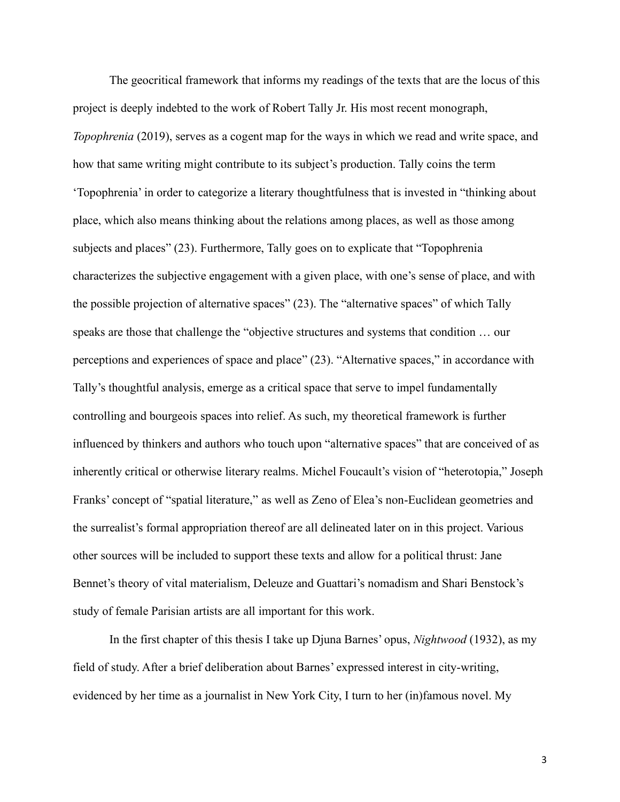The geocritical framework that informs my readings of the texts that are the locus of this project is deeply indebted to the work of Robert Tally Jr. His most recent monograph, *Topophrenia* (2019), serves as a cogent map for the ways in which we read and write space, and how that same writing might contribute to its subject's production. Tally coins the term 'Topophrenia' in order to categorize a literary thoughtfulness that is invested in "thinking about place, which also means thinking about the relations among places, as well as those among subjects and places" (23). Furthermore, Tally goes on to explicate that "Topophrenia characterizes the subjective engagement with a given place, with one's sense of place, and with the possible projection of alternative spaces" (23). The "alternative spaces" of which Tally speaks are those that challenge the "objective structures and systems that condition … our perceptions and experiences of space and place" (23). "Alternative spaces," in accordance with Tally's thoughtful analysis, emerge as a critical space that serve to impel fundamentally controlling and bourgeois spaces into relief. As such, my theoretical framework is further influenced by thinkers and authors who touch upon "alternative spaces" that are conceived of as inherently critical or otherwise literary realms. Michel Foucault's vision of "heterotopia," Joseph Franks' concept of "spatial literature," as well as Zeno of Elea's non-Euclidean geometries and the surrealist's formal appropriation thereof are all delineated later on in this project. Various other sources will be included to support these texts and allow for a political thrust: Jane Bennet's theory of vital materialism, Deleuze and Guattari's nomadism and Shari Benstock's study of female Parisian artists are all important for this work.

In the first chapter of this thesis I take up Djuna Barnes' opus, *Nightwood* (1932), as my field of study. After a brief deliberation about Barnes' expressed interest in city-writing, evidenced by her time as a journalist in New York City, I turn to her (in)famous novel. My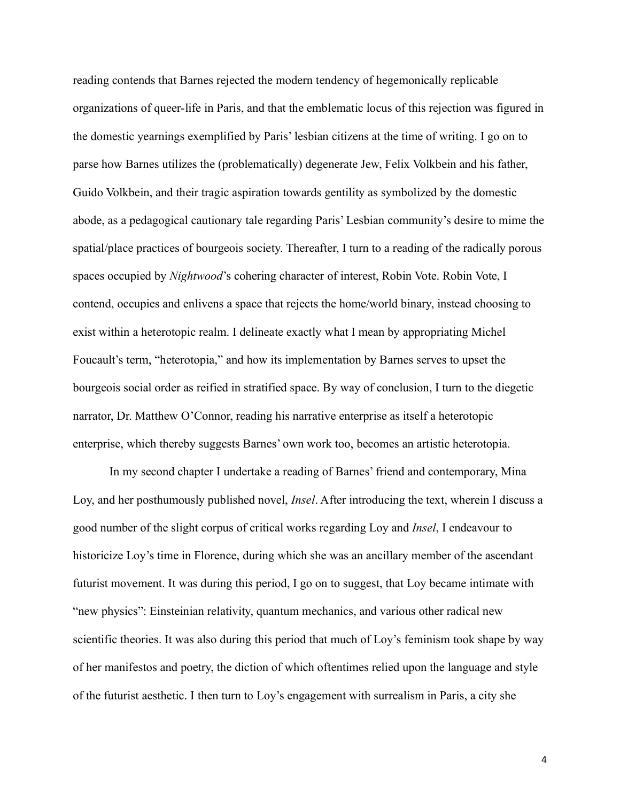reading contends that Barnes rejected the modern tendency of hegemonically replicable organizations of queer-life in Paris, and that the emblematic locus of this rejection was figured in the domestic yearnings exemplified by Paris' lesbian citizens at the time of writing. I go on to parse how Barnes utilizes the (problematically) degenerate Jew, Felix Volkbein and his father, Guido Volkbein, and their tragic aspiration towards gentility as symbolized by the domestic abode, as a pedagogical cautionary tale regarding Paris' Lesbian community's desire to mime the spatial/place practices of bourgeois society. Thereafter, I turn to a reading of the radically porous spaces occupied by *Nightwood*'s cohering character of interest, Robin Vote. Robin Vote, I contend, occupies and enlivens a space that rejects the home/world binary, instead choosing to exist within a heterotopic realm. I delineate exactly what I mean by appropriating Michel Foucault's term, "heterotopia," and how its implementation by Barnes serves to upset the bourgeois social order as reified in stratified space. By way of conclusion, I turn to the diegetic narrator, Dr. Matthew O'Connor, reading his narrative enterprise as itself a heterotopic enterprise, which thereby suggests Barnes' own work too, becomes an artistic heterotopia.

In my second chapter I undertake a reading of Barnes' friend and contemporary, Mina Loy, and her posthumously published novel, *Insel*. After introducing the text, wherein I discuss a good number of the slight corpus of critical works regarding Loy and *Insel*, I endeavour to historicize Loy's time in Florence, during which she was an ancillary member of the ascendant futurist movement. It was during this period, I go on to suggest, that Loy became intimate with "new physics": Einsteinian relativity, quantum mechanics, and various other radical new scientific theories. It was also during this period that much of Loy's feminism took shape by way of her manifestos and poetry, the diction of which oftentimes relied upon the language and style of the futurist aesthetic. I then turn to Loy's engagement with surrealism in Paris, a city she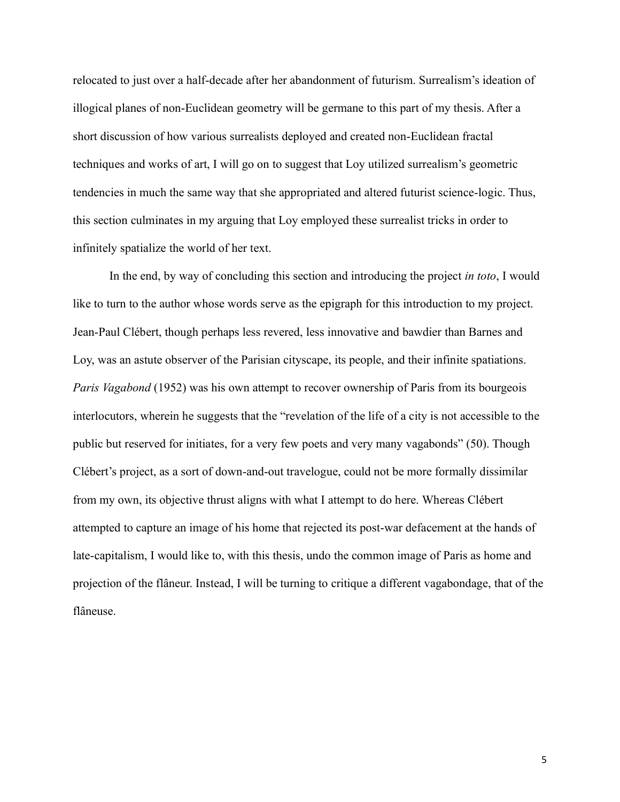relocated to just over a half-decade after her abandonment of futurism. Surrealism's ideation of illogical planes of non-Euclidean geometry will be germane to this part of my thesis. After a short discussion of how various surrealists deployed and created non-Euclidean fractal techniques and works of art, I will go on to suggest that Loy utilized surrealism's geometric tendencies in much the same way that she appropriated and altered futurist science-logic. Thus, this section culminates in my arguing that Loy employed these surrealist tricks in order to infinitely spatialize the world of her text.

In the end, by way of concluding this section and introducing the project *in toto*, I would like to turn to the author whose words serve as the epigraph for this introduction to my project. Jean-Paul Clébert, though perhaps less revered, less innovative and bawdier than Barnes and Loy, was an astute observer of the Parisian cityscape, its people, and their infinite spatiations. *Paris Vagabond* (1952) was his own attempt to recover ownership of Paris from its bourgeois interlocutors, wherein he suggests that the "revelation of the life of a city is not accessible to the public but reserved for initiates, for a very few poets and very many vagabonds" (50). Though Clébert's project, as a sort of down-and-out travelogue, could not be more formally dissimilar from my own, its objective thrust aligns with what I attempt to do here. Whereas Clébert attempted to capture an image of his home that rejected its post-war defacement at the hands of late-capitalism, I would like to, with this thesis, undo the common image of Paris as home and projection of the flâneur. Instead, I will be turning to critique a different vagabondage, that of the flâneuse.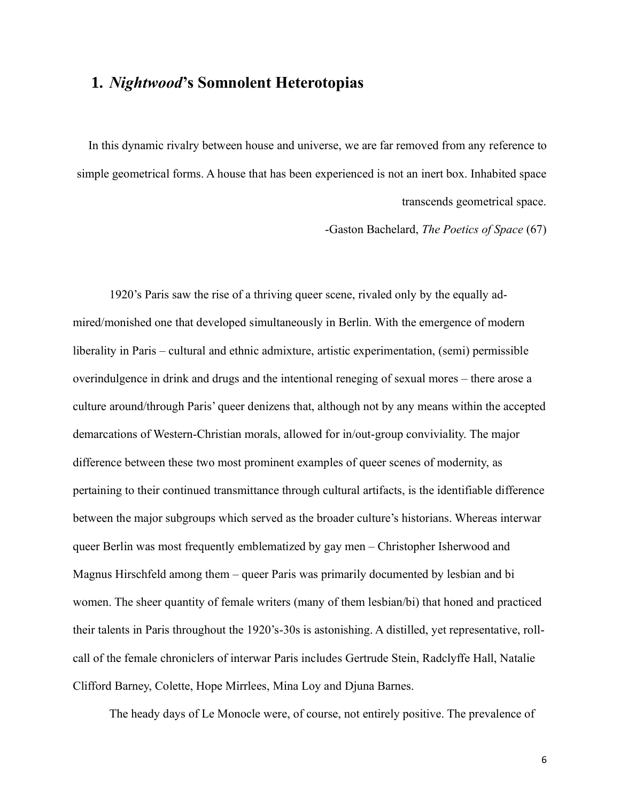# **1.** *Nightwood***'s Somnolent Heterotopias**

In this dynamic rivalry between house and universe, we are far removed from any reference to simple geometrical forms. A house that has been experienced is not an inert box. Inhabited space transcends geometrical space.

-Gaston Bachelard, *The Poetics of Space* (67)

1920's Paris saw the rise of a thriving queer scene, rivaled only by the equally admired/monished one that developed simultaneously in Berlin. With the emergence of modern liberality in Paris – cultural and ethnic admixture, artistic experimentation, (semi) permissible overindulgence in drink and drugs and the intentional reneging of sexual mores – there arose a culture around/through Paris' queer denizens that, although not by any means within the accepted demarcations of Western-Christian morals, allowed for in/out-group conviviality. The major difference between these two most prominent examples of queer scenes of modernity, as pertaining to their continued transmittance through cultural artifacts, is the identifiable difference between the major subgroups which served as the broader culture's historians. Whereas interwar queer Berlin was most frequently emblematized by gay men – Christopher Isherwood and Magnus Hirschfeld among them – queer Paris was primarily documented by lesbian and bi women. The sheer quantity of female writers (many of them lesbian/bi) that honed and practiced their talents in Paris throughout the 1920's-30s is astonishing. A distilled, yet representative, rollcall of the female chroniclers of interwar Paris includes Gertrude Stein, Radclyffe Hall, Natalie Clifford Barney, Colette, Hope Mirrlees, Mina Loy and Djuna Barnes.

The heady days of Le Monocle were, of course, not entirely positive. The prevalence of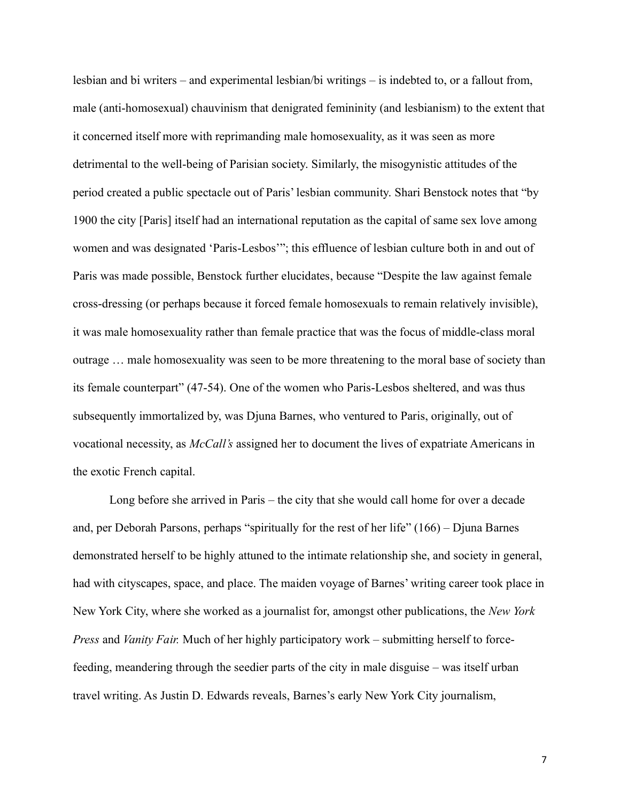lesbian and bi writers – and experimental lesbian/bi writings – is indebted to, or a fallout from, male (anti-homosexual) chauvinism that denigrated femininity (and lesbianism) to the extent that it concerned itself more with reprimanding male homosexuality, as it was seen as more detrimental to the well-being of Parisian society. Similarly, the misogynistic attitudes of the period created a public spectacle out of Paris' lesbian community. Shari Benstock notes that "by 1900 the city [Paris] itself had an international reputation as the capital of same sex love among women and was designated 'Paris-Lesbos'"; this effluence of lesbian culture both in and out of Paris was made possible, Benstock further elucidates, because "Despite the law against female cross-dressing (or perhaps because it forced female homosexuals to remain relatively invisible), it was male homosexuality rather than female practice that was the focus of middle-class moral outrage … male homosexuality was seen to be more threatening to the moral base of society than its female counterpart" (47-54). One of the women who Paris-Lesbos sheltered, and was thus subsequently immortalized by, was Djuna Barnes, who ventured to Paris, originally, out of vocational necessity, as *McCall's* assigned her to document the lives of expatriate Americans in the exotic French capital.

Long before she arrived in Paris – the city that she would call home for over a decade and, per Deborah Parsons, perhaps "spiritually for the rest of her life" (166) – Djuna Barnes demonstrated herself to be highly attuned to the intimate relationship she, and society in general, had with cityscapes, space, and place. The maiden voyage of Barnes' writing career took place in New York City, where she worked as a journalist for, amongst other publications, the *New York Press* and *Vanity Fair.* Much of her highly participatory work – submitting herself to forcefeeding, meandering through the seedier parts of the city in male disguise – was itself urban travel writing. As Justin D. Edwards reveals, Barnes's early New York City journalism,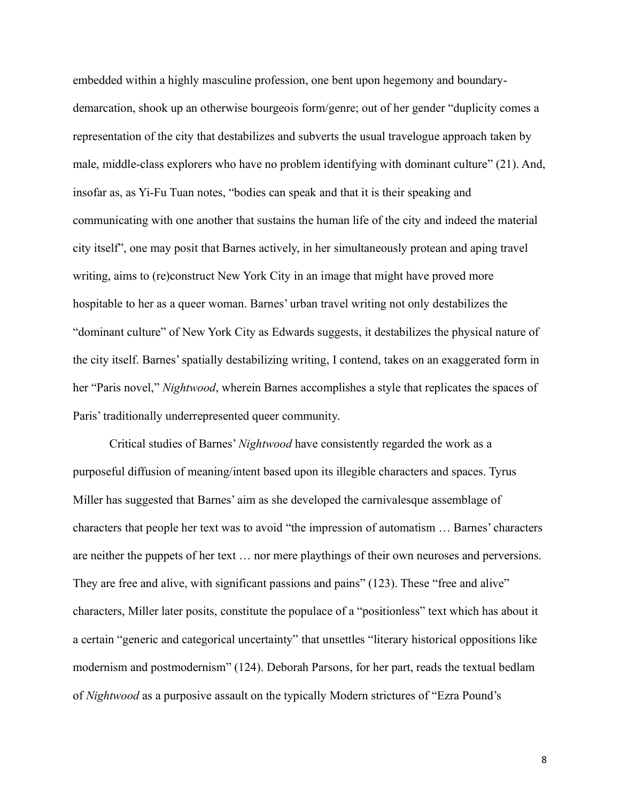embedded within a highly masculine profession, one bent upon hegemony and boundarydemarcation, shook up an otherwise bourgeois form/genre; out of her gender "duplicity comes a representation of the city that destabilizes and subverts the usual travelogue approach taken by male, middle-class explorers who have no problem identifying with dominant culture" (21). And, insofar as, as Yi-Fu Tuan notes, "bodies can speak and that it is their speaking and communicating with one another that sustains the human life of the city and indeed the material city itself", one may posit that Barnes actively, in her simultaneously protean and aping travel writing, aims to (re)construct New York City in an image that might have proved more hospitable to her as a queer woman. Barnes' urban travel writing not only destabilizes the "dominant culture" of New York City as Edwards suggests, it destabilizes the physical nature of the city itself. Barnes' spatially destabilizing writing, I contend, takes on an exaggerated form in her "Paris novel," *Nightwood*, wherein Barnes accomplishes a style that replicates the spaces of Paris' traditionally underrepresented queer community.

Critical studies of Barnes' *Nightwood* have consistently regarded the work as a purposeful diffusion of meaning/intent based upon its illegible characters and spaces. Tyrus Miller has suggested that Barnes' aim as she developed the carnivalesque assemblage of characters that people her text was to avoid "the impression of automatism … Barnes' characters are neither the puppets of her text … nor mere playthings of their own neuroses and perversions. They are free and alive, with significant passions and pains" (123). These "free and alive" characters, Miller later posits, constitute the populace of a "positionless" text which has about it a certain "generic and categorical uncertainty" that unsettles "literary historical oppositions like modernism and postmodernism" (124). Deborah Parsons, for her part, reads the textual bedlam of *Nightwood* as a purposive assault on the typically Modern strictures of "Ezra Pound's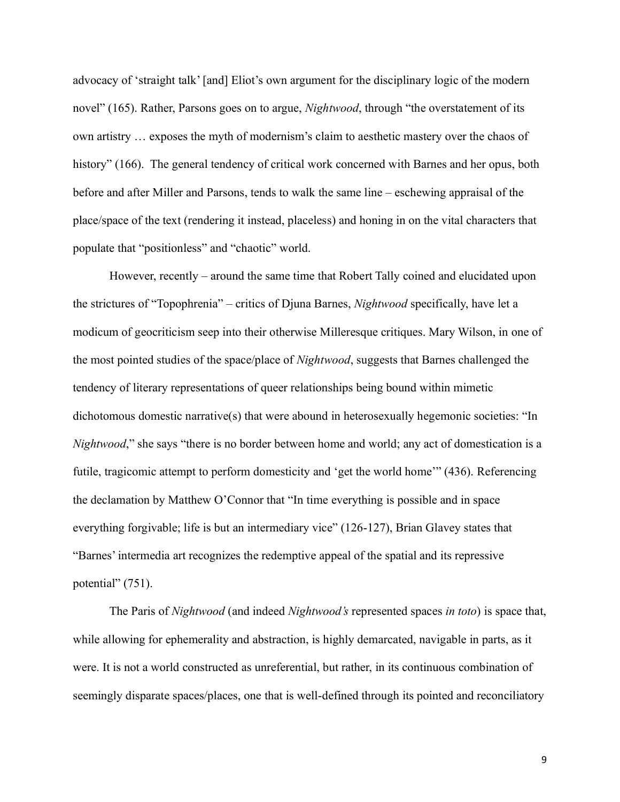advocacy of 'straight talk' [and] Eliot's own argument for the disciplinary logic of the modern novel" (165). Rather, Parsons goes on to argue, *Nightwood*, through "the overstatement of its own artistry … exposes the myth of modernism's claim to aesthetic mastery over the chaos of history" (166). The general tendency of critical work concerned with Barnes and her opus, both before and after Miller and Parsons, tends to walk the same line – eschewing appraisal of the place/space of the text (rendering it instead, placeless) and honing in on the vital characters that populate that "positionless" and "chaotic" world.

However, recently – around the same time that Robert Tally coined and elucidated upon the strictures of "Topophrenia" – critics of Djuna Barnes, *Nightwood* specifically, have let a modicum of geocriticism seep into their otherwise Milleresque critiques. Mary Wilson, in one of the most pointed studies of the space/place of *Nightwood*, suggests that Barnes challenged the tendency of literary representations of queer relationships being bound within mimetic dichotomous domestic narrative(s) that were abound in heterosexually hegemonic societies: "In *Nightwood*," she says "there is no border between home and world; any act of domestication is a futile, tragicomic attempt to perform domesticity and 'get the world home'" (436). Referencing the declamation by Matthew O'Connor that "In time everything is possible and in space everything forgivable; life is but an intermediary vice" (126-127), Brian Glavey states that "Barnes' intermedia art recognizes the redemptive appeal of the spatial and its repressive potential" (751).

The Paris of *Nightwood* (and indeed *Nightwood's* represented spaces *in toto*) is space that, while allowing for ephemerality and abstraction, is highly demarcated, navigable in parts, as it were. It is not a world constructed as unreferential, but rather, in its continuous combination of seemingly disparate spaces/places, one that is well-defined through its pointed and reconciliatory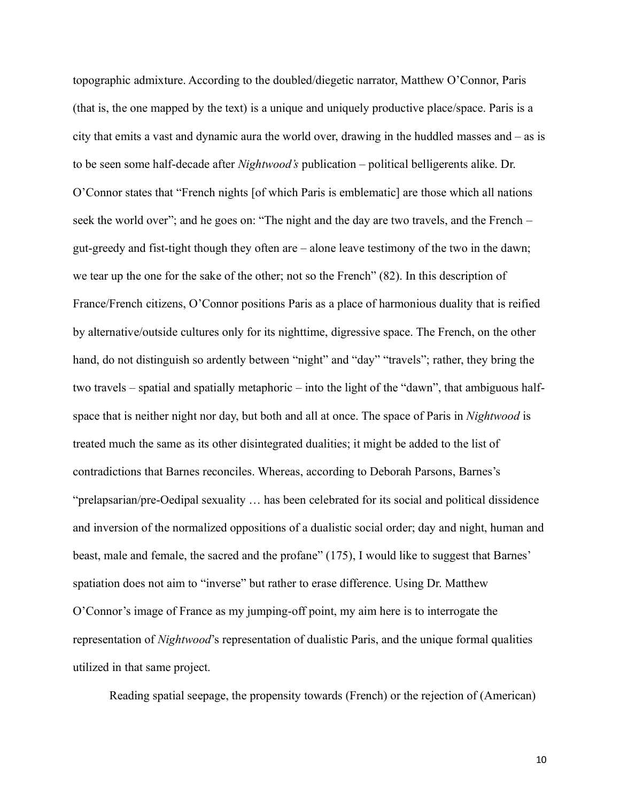topographic admixture. According to the doubled/diegetic narrator, Matthew O'Connor, Paris (that is, the one mapped by the text) is a unique and uniquely productive place/space. Paris is a city that emits a vast and dynamic aura the world over, drawing in the huddled masses and – as is to be seen some half-decade after *Nightwood's* publication – political belligerents alike. Dr. O'Connor states that "French nights [of which Paris is emblematic] are those which all nations seek the world over"; and he goes on: "The night and the day are two travels, and the French – gut-greedy and fist-tight though they often are – alone leave testimony of the two in the dawn; we tear up the one for the sake of the other; not so the French" (82). In this description of France/French citizens, O'Connor positions Paris as a place of harmonious duality that is reified by alternative/outside cultures only for its nighttime, digressive space. The French, on the other hand, do not distinguish so ardently between "night" and "day" "travels"; rather, they bring the two travels – spatial and spatially metaphoric – into the light of the "dawn", that ambiguous halfspace that is neither night nor day, but both and all at once. The space of Paris in *Nightwood* is treated much the same as its other disintegrated dualities; it might be added to the list of contradictions that Barnes reconciles. Whereas, according to Deborah Parsons, Barnes's "prelapsarian/pre-Oedipal sexuality … has been celebrated for its social and political dissidence and inversion of the normalized oppositions of a dualistic social order; day and night, human and beast, male and female, the sacred and the profane" (175), I would like to suggest that Barnes' spatiation does not aim to "inverse" but rather to erase difference. Using Dr. Matthew O'Connor's image of France as my jumping-off point, my aim here is to interrogate the representation of *Nightwood*'s representation of dualistic Paris, and the unique formal qualities utilized in that same project.

Reading spatial seepage, the propensity towards (French) or the rejection of (American)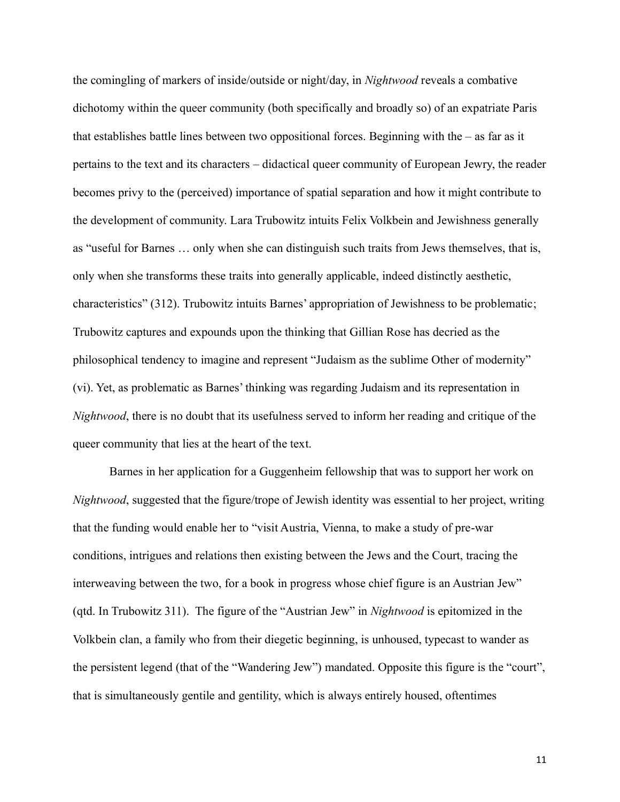the comingling of markers of inside/outside or night/day, in *Nightwood* reveals a combative dichotomy within the queer community (both specifically and broadly so) of an expatriate Paris that establishes battle lines between two oppositional forces. Beginning with the – as far as it pertains to the text and its characters – didactical queer community of European Jewry, the reader becomes privy to the (perceived) importance of spatial separation and how it might contribute to the development of community. Lara Trubowitz intuits Felix Volkbein and Jewishness generally as "useful for Barnes … only when she can distinguish such traits from Jews themselves, that is, only when she transforms these traits into generally applicable, indeed distinctly aesthetic, characteristics" (312). Trubowitz intuits Barnes' appropriation of Jewishness to be problematic; Trubowitz captures and expounds upon the thinking that Gillian Rose has decried as the philosophical tendency to imagine and represent "Judaism as the sublime Other of modernity" (vi). Yet, as problematic as Barnes' thinking was regarding Judaism and its representation in *Nightwood*, there is no doubt that its usefulness served to inform her reading and critique of the queer community that lies at the heart of the text.

Barnes in her application for a Guggenheim fellowship that was to support her work on *Nightwood*, suggested that the figure/trope of Jewish identity was essential to her project, writing that the funding would enable her to "visit Austria, Vienna, to make a study of pre-war conditions, intrigues and relations then existing between the Jews and the Court, tracing the interweaving between the two, for a book in progress whose chief figure is an Austrian Jew" (qtd. In Trubowitz 311). The figure of the "Austrian Jew" in *Nightwood* is epitomized in the Volkbein clan, a family who from their diegetic beginning, is unhoused, typecast to wander as the persistent legend (that of the "Wandering Jew") mandated. Opposite this figure is the "court", that is simultaneously gentile and gentility, which is always entirely housed, oftentimes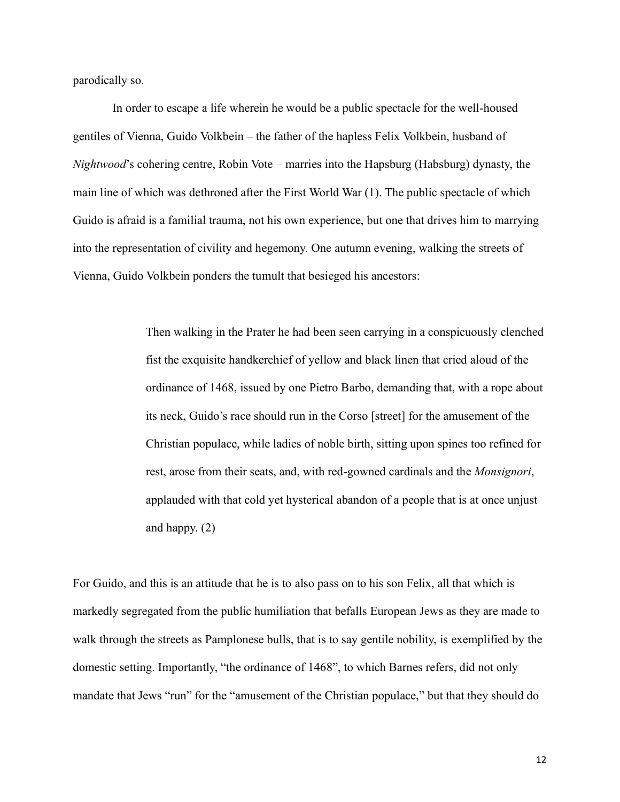parodically so.

In order to escape a life wherein he would be a public spectacle for the well-housed gentiles of Vienna, Guido Volkbein – the father of the hapless Felix Volkbein, husband of *Nightwood*'s cohering centre, Robin Vote – marries into the Hapsburg (Habsburg) dynasty, the main line of which was dethroned after the First World War (1). The public spectacle of which Guido is afraid is a familial trauma, not his own experience, but one that drives him to marrying into the representation of civility and hegemony. One autumn evening, walking the streets of Vienna, Guido Volkbein ponders the tumult that besieged his ancestors:

> Then walking in the Prater he had been seen carrying in a conspicuously clenched fist the exquisite handkerchief of yellow and black linen that cried aloud of the ordinance of 1468, issued by one Pietro Barbo, demanding that, with a rope about its neck, Guido's race should run in the Corso [street] for the amusement of the Christian populace, while ladies of noble birth, sitting upon spines too refined for rest, arose from their seats, and, with red-gowned cardinals and the *Monsignori*, applauded with that cold yet hysterical abandon of a people that is at once unjust and happy. (2)

For Guido, and this is an attitude that he is to also pass on to his son Felix, all that which is markedly segregated from the public humiliation that befalls European Jews as they are made to walk through the streets as Pamplonese bulls, that is to say gentile nobility, is exemplified by the domestic setting. Importantly, "the ordinance of 1468", to which Barnes refers, did not only mandate that Jews "run" for the "amusement of the Christian populace," but that they should do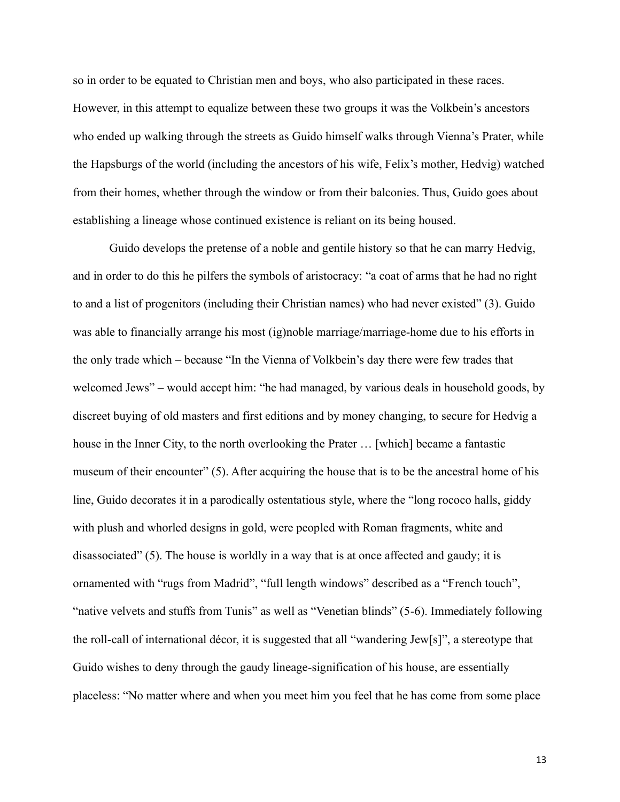so in order to be equated to Christian men and boys, who also participated in these races. However, in this attempt to equalize between these two groups it was the Volkbein's ancestors who ended up walking through the streets as Guido himself walks through Vienna's Prater, while the Hapsburgs of the world (including the ancestors of his wife, Felix's mother, Hedvig) watched from their homes, whether through the window or from their balconies. Thus, Guido goes about establishing a lineage whose continued existence is reliant on its being housed.

Guido develops the pretense of a noble and gentile history so that he can marry Hedvig, and in order to do this he pilfers the symbols of aristocracy: "a coat of arms that he had no right to and a list of progenitors (including their Christian names) who had never existed" (3). Guido was able to financially arrange his most (ig)noble marriage/marriage-home due to his efforts in the only trade which – because "In the Vienna of Volkbein's day there were few trades that welcomed Jews" – would accept him: "he had managed, by various deals in household goods, by discreet buying of old masters and first editions and by money changing, to secure for Hedvig a house in the Inner City, to the north overlooking the Prater … [which] became a fantastic museum of their encounter" (5). After acquiring the house that is to be the ancestral home of his line, Guido decorates it in a parodically ostentatious style, where the "long rococo halls, giddy with plush and whorled designs in gold, were peopled with Roman fragments, white and disassociated" (5). The house is worldly in a way that is at once affected and gaudy; it is ornamented with "rugs from Madrid", "full length windows" described as a "French touch", "native velvets and stuffs from Tunis" as well as "Venetian blinds" (5-6). Immediately following the roll-call of international décor, it is suggested that all "wandering Jew[s]", a stereotype that Guido wishes to deny through the gaudy lineage-signification of his house, are essentially placeless: "No matter where and when you meet him you feel that he has come from some place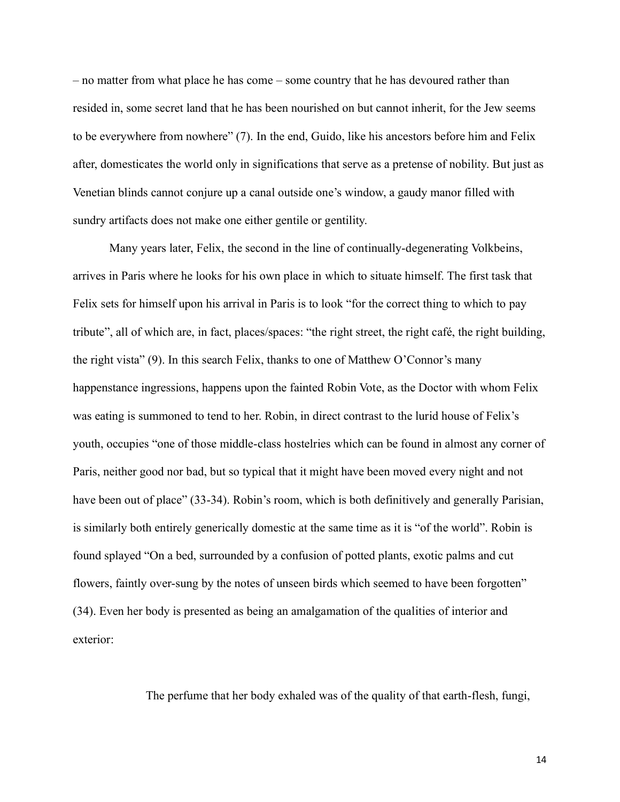– no matter from what place he has come – some country that he has devoured rather than resided in, some secret land that he has been nourished on but cannot inherit, for the Jew seems to be everywhere from nowhere" (7). In the end, Guido, like his ancestors before him and Felix after, domesticates the world only in significations that serve as a pretense of nobility. But just as Venetian blinds cannot conjure up a canal outside one's window, a gaudy manor filled with sundry artifacts does not make one either gentile or gentility.

Many years later, Felix, the second in the line of continually-degenerating Volkbeins, arrives in Paris where he looks for his own place in which to situate himself. The first task that Felix sets for himself upon his arrival in Paris is to look "for the correct thing to which to pay tribute", all of which are, in fact, places/spaces: "the right street, the right café, the right building, the right vista" (9). In this search Felix, thanks to one of Matthew O'Connor's many happenstance ingressions, happens upon the fainted Robin Vote, as the Doctor with whom Felix was eating is summoned to tend to her. Robin, in direct contrast to the lurid house of Felix's youth, occupies "one of those middle-class hostelries which can be found in almost any corner of Paris, neither good nor bad, but so typical that it might have been moved every night and not have been out of place" (33-34). Robin's room, which is both definitively and generally Parisian, is similarly both entirely generically domestic at the same time as it is "of the world". Robin is found splayed "On a bed, surrounded by a confusion of potted plants, exotic palms and cut flowers, faintly over-sung by the notes of unseen birds which seemed to have been forgotten" (34). Even her body is presented as being an amalgamation of the qualities of interior and exterior:

The perfume that her body exhaled was of the quality of that earth-flesh, fungi,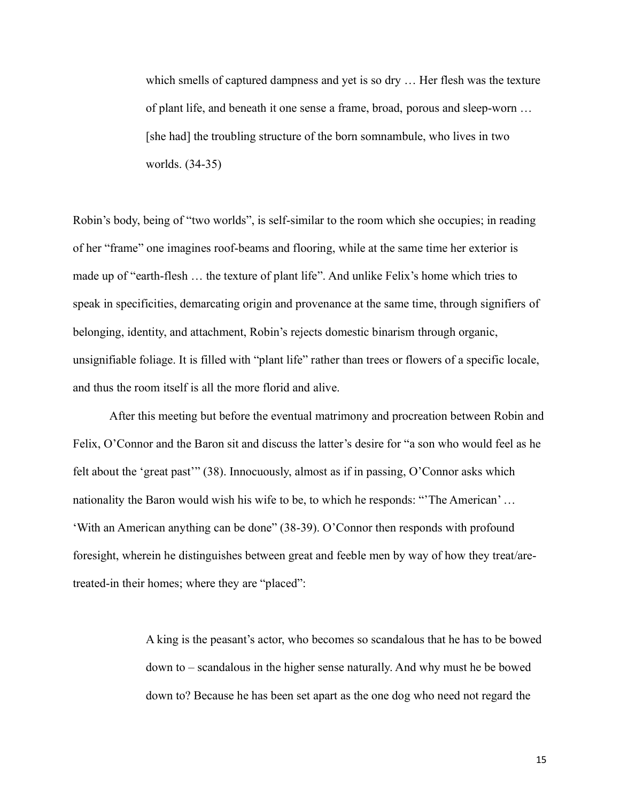which smells of captured dampness and yet is so dry … Her flesh was the texture of plant life, and beneath it one sense a frame, broad, porous and sleep-worn … [she had] the troubling structure of the born somnambule, who lives in two worlds. (34-35)

Robin's body, being of "two worlds", is self-similar to the room which she occupies; in reading of her "frame" one imagines roof-beams and flooring, while at the same time her exterior is made up of "earth-flesh … the texture of plant life". And unlike Felix's home which tries to speak in specificities, demarcating origin and provenance at the same time, through signifiers of belonging, identity, and attachment, Robin's rejects domestic binarism through organic, unsignifiable foliage. It is filled with "plant life" rather than trees or flowers of a specific locale, and thus the room itself is all the more florid and alive.

After this meeting but before the eventual matrimony and procreation between Robin and Felix, O'Connor and the Baron sit and discuss the latter's desire for "a son who would feel as he felt about the 'great past'" (38). Innocuously, almost as if in passing, O'Connor asks which nationality the Baron would wish his wife to be, to which he responds: "'The American' … 'With an American anything can be done" (38-39). O'Connor then responds with profound foresight, wherein he distinguishes between great and feeble men by way of how they treat/aretreated-in their homes; where they are "placed":

> A king is the peasant's actor, who becomes so scandalous that he has to be bowed down to – scandalous in the higher sense naturally. And why must he be bowed down to? Because he has been set apart as the one dog who need not regard the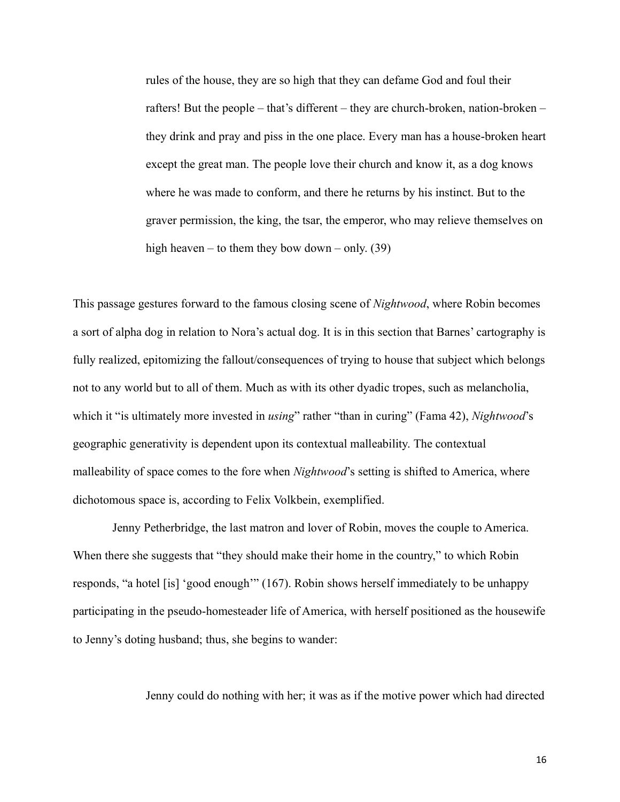rules of the house, they are so high that they can defame God and foul their rafters! But the people – that's different – they are church-broken, nation-broken – they drink and pray and piss in the one place. Every man has a house-broken heart except the great man. The people love their church and know it, as a dog knows where he was made to conform, and there he returns by his instinct. But to the graver permission, the king, the tsar, the emperor, who may relieve themselves on high heaven – to them they bow down – only.  $(39)$ 

This passage gestures forward to the famous closing scene of *Nightwood*, where Robin becomes a sort of alpha dog in relation to Nora's actual dog. It is in this section that Barnes' cartography is fully realized, epitomizing the fallout/consequences of trying to house that subject which belongs not to any world but to all of them. Much as with its other dyadic tropes, such as melancholia, which it "is ultimately more invested in *using*" rather "than in curing" (Fama 42), *Nightwood*'s geographic generativity is dependent upon its contextual malleability. The contextual malleability of space comes to the fore when *Nightwood*'s setting is shifted to America, where dichotomous space is, according to Felix Volkbein, exemplified.

Jenny Petherbridge, the last matron and lover of Robin, moves the couple to America. When there she suggests that "they should make their home in the country," to which Robin responds, "a hotel [is] 'good enough'" (167). Robin shows herself immediately to be unhappy participating in the pseudo-homesteader life of America, with herself positioned as the housewife to Jenny's doting husband; thus, she begins to wander:

Jenny could do nothing with her; it was as if the motive power which had directed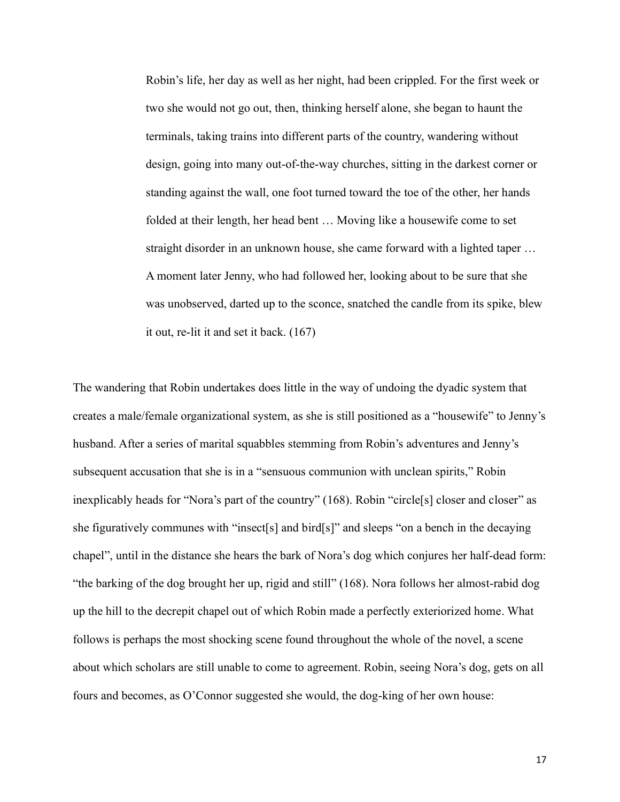Robin's life, her day as well as her night, had been crippled. For the first week or two she would not go out, then, thinking herself alone, she began to haunt the terminals, taking trains into different parts of the country, wandering without design, going into many out-of-the-way churches, sitting in the darkest corner or standing against the wall, one foot turned toward the toe of the other, her hands folded at their length, her head bent … Moving like a housewife come to set straight disorder in an unknown house, she came forward with a lighted taper … A moment later Jenny, who had followed her, looking about to be sure that she was unobserved, darted up to the sconce, snatched the candle from its spike, blew it out, re-lit it and set it back. (167)

The wandering that Robin undertakes does little in the way of undoing the dyadic system that creates a male/female organizational system, as she is still positioned as a "housewife" to Jenny's husband. After a series of marital squabbles stemming from Robin's adventures and Jenny's subsequent accusation that she is in a "sensuous communion with unclean spirits," Robin inexplicably heads for "Nora's part of the country" (168). Robin "circle[s] closer and closer" as she figuratively communes with "insect[s] and bird[s]" and sleeps "on a bench in the decaying chapel", until in the distance she hears the bark of Nora's dog which conjures her half-dead form: "the barking of the dog brought her up, rigid and still" (168). Nora follows her almost-rabid dog up the hill to the decrepit chapel out of which Robin made a perfectly exteriorized home. What follows is perhaps the most shocking scene found throughout the whole of the novel, a scene about which scholars are still unable to come to agreement. Robin, seeing Nora's dog, gets on all fours and becomes, as O'Connor suggested she would, the dog-king of her own house: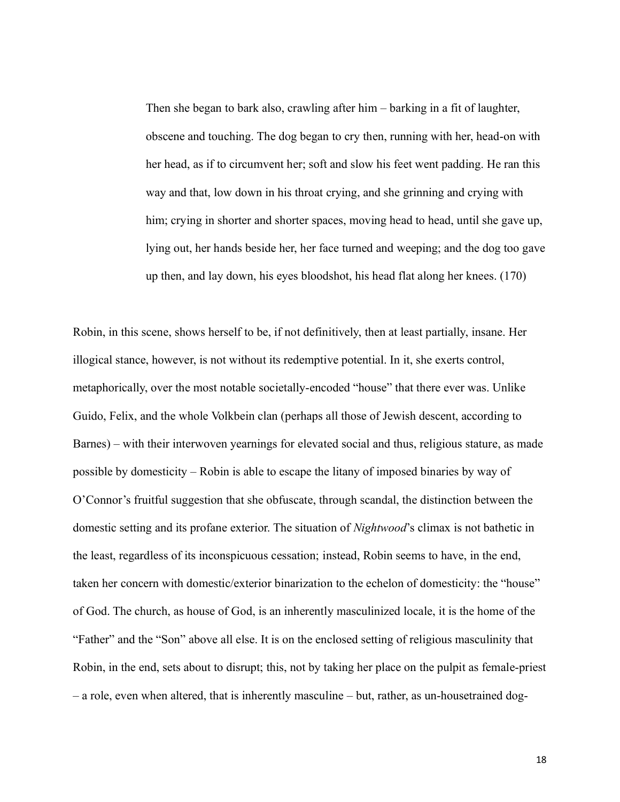Then she began to bark also, crawling after him – barking in a fit of laughter, obscene and touching. The dog began to cry then, running with her, head-on with her head, as if to circumvent her; soft and slow his feet went padding. He ran this way and that, low down in his throat crying, and she grinning and crying with him; crying in shorter and shorter spaces, moving head to head, until she gave up, lying out, her hands beside her, her face turned and weeping; and the dog too gave up then, and lay down, his eyes bloodshot, his head flat along her knees. (170)

Robin, in this scene, shows herself to be, if not definitively, then at least partially, insane. Her illogical stance, however, is not without its redemptive potential. In it, she exerts control, metaphorically, over the most notable societally-encoded "house" that there ever was. Unlike Guido, Felix, and the whole Volkbein clan (perhaps all those of Jewish descent, according to Barnes) – with their interwoven yearnings for elevated social and thus, religious stature, as made possible by domesticity – Robin is able to escape the litany of imposed binaries by way of O'Connor's fruitful suggestion that she obfuscate, through scandal, the distinction between the domestic setting and its profane exterior. The situation of *Nightwood*'s climax is not bathetic in the least, regardless of its inconspicuous cessation; instead, Robin seems to have, in the end, taken her concern with domestic/exterior binarization to the echelon of domesticity: the "house" of God. The church, as house of God, is an inherently masculinized locale, it is the home of the "Father" and the "Son" above all else. It is on the enclosed setting of religious masculinity that Robin, in the end, sets about to disrupt; this, not by taking her place on the pulpit as female-priest – a role, even when altered, that is inherently masculine – but, rather, as un-housetrained dog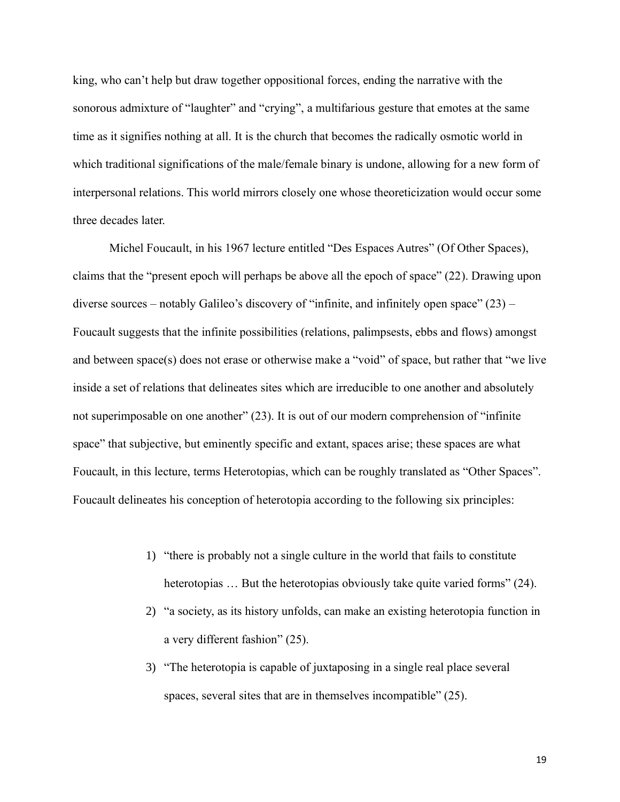king, who can't help but draw together oppositional forces, ending the narrative with the sonorous admixture of "laughter" and "crying", a multifarious gesture that emotes at the same time as it signifies nothing at all. It is the church that becomes the radically osmotic world in which traditional significations of the male/female binary is undone, allowing for a new form of interpersonal relations. This world mirrors closely one whose theoreticization would occur some three decades later.

Michel Foucault, in his 1967 lecture entitled "Des Espaces Autres" (Of Other Spaces), claims that the "present epoch will perhaps be above all the epoch of space" (22). Drawing upon diverse sources – notably Galileo's discovery of "infinite, and infinitely open space" (23) – Foucault suggests that the infinite possibilities (relations, palimpsests, ebbs and flows) amongst and between space(s) does not erase or otherwise make a "void" of space, but rather that "we live inside a set of relations that delineates sites which are irreducible to one another and absolutely not superimposable on one another" (23). It is out of our modern comprehension of "infinite space" that subjective, but eminently specific and extant, spaces arise; these spaces are what Foucault, in this lecture, terms Heterotopias, which can be roughly translated as "Other Spaces". Foucault delineates his conception of heterotopia according to the following six principles:

- 1) "there is probably not a single culture in the world that fails to constitute heterotopias ... But the heterotopias obviously take quite varied forms" (24).
- 2) "a society, as its history unfolds, can make an existing heterotopia function in a very different fashion" (25).
- 3) "The heterotopia is capable of juxtaposing in a single real place several spaces, several sites that are in themselves incompatible" (25).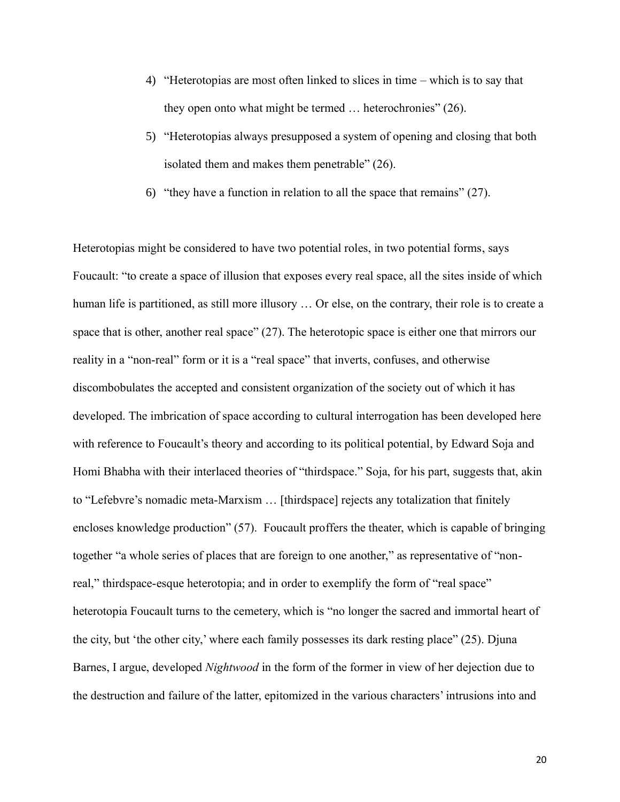- 4) "Heterotopias are most often linked to slices in time which is to say that they open onto what might be termed … heterochronies" (26).
- 5) "Heterotopias always presupposed a system of opening and closing that both isolated them and makes them penetrable" (26).
- 6) "they have a function in relation to all the space that remains" (27).

Heterotopias might be considered to have two potential roles, in two potential forms, says Foucault: "to create a space of illusion that exposes every real space, all the sites inside of which human life is partitioned, as still more illusory … Or else, on the contrary, their role is to create a space that is other, another real space" (27). The heterotopic space is either one that mirrors our reality in a "non-real" form or it is a "real space" that inverts, confuses, and otherwise discombobulates the accepted and consistent organization of the society out of which it has developed. The imbrication of space according to cultural interrogation has been developed here with reference to Foucault's theory and according to its political potential, by Edward Soja and Homi Bhabha with their interlaced theories of "thirdspace." Soja, for his part, suggests that, akin to "Lefebvre's nomadic meta-Marxism … [thirdspace] rejects any totalization that finitely encloses knowledge production" (57). Foucault proffers the theater, which is capable of bringing together "a whole series of places that are foreign to one another," as representative of "nonreal," thirdspace-esque heterotopia; and in order to exemplify the form of "real space" heterotopia Foucault turns to the cemetery, which is "no longer the sacred and immortal heart of the city, but 'the other city,' where each family possesses its dark resting place" (25). Djuna Barnes, I argue, developed *Nightwood* in the form of the former in view of her dejection due to the destruction and failure of the latter, epitomized in the various characters' intrusions into and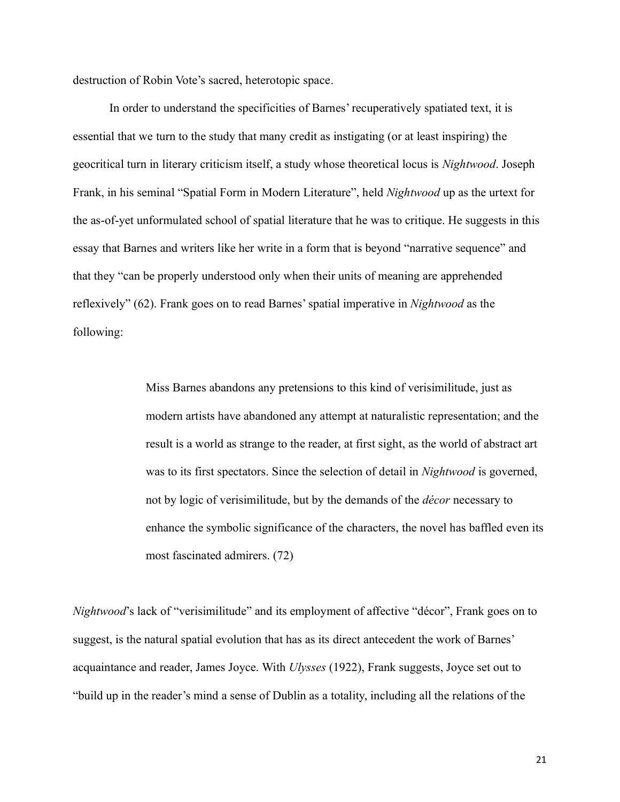destruction of Robin Vote's sacred, heterotopic space.

In order to understand the specificities of Barnes' recuperatively spatiated text, it is essential that we turn to the study that many credit as instigating (or at least inspiring) the geocritical turn in literary criticism itself, a study whose theoretical locus is *Nightwood*. Joseph Frank, in his seminal "Spatial Form in Modern Literature", held *Nightwood* up as the urtext for the as-of-yet unformulated school of spatial literature that he was to critique. He suggests in this essay that Barnes and writers like her write in a form that is beyond "narrative sequence" and that they "can be properly understood only when their units of meaning are apprehended reflexively" (62). Frank goes on to read Barnes'spatial imperative in *Nightwood* as the following:

> Miss Barnes abandons any pretensions to this kind of verisimilitude, just as modern artists have abandoned any attempt at naturalistic representation; and the result is a world as strange to the reader, at first sight, as the world of abstract art was to its first spectators. Since the selection of detail in *Nightwood* is governed, not by logic of verisimilitude, but by the demands of the *décor* necessary to enhance the symbolic significance of the characters, the novel has baffled even its most fascinated admirers. (72)

*Nightwood*'s lack of "verisimilitude" and its employment of affective "décor", Frank goes on to suggest, is the natural spatial evolution that has as its direct antecedent the work of Barnes' acquaintance and reader, James Joyce. With *Ulysses* (1922), Frank suggests, Joyce set out to "build up in the reader's mind a sense of Dublin as a totality, including all the relations of the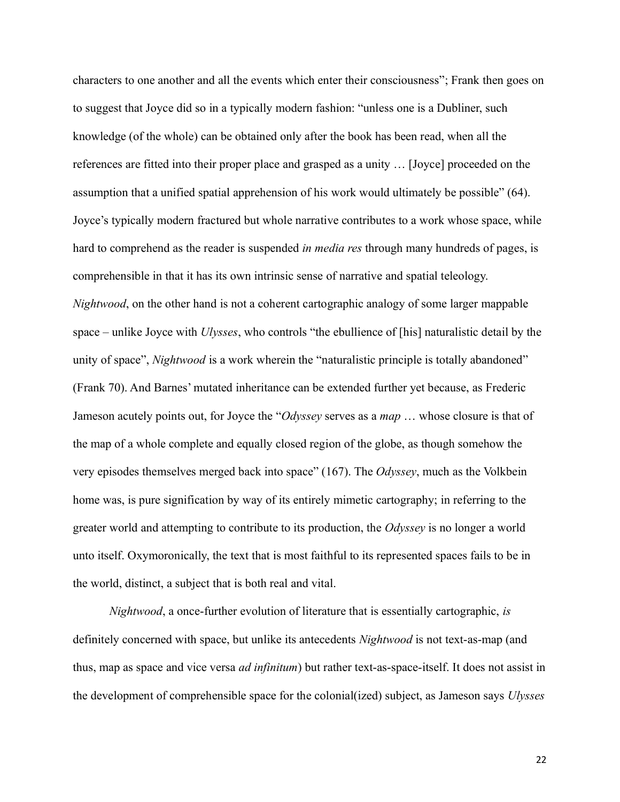characters to one another and all the events which enter their consciousness"; Frank then goes on to suggest that Joyce did so in a typically modern fashion: "unless one is a Dubliner, such knowledge (of the whole) can be obtained only after the book has been read, when all the references are fitted into their proper place and grasped as a unity … [Joyce] proceeded on the assumption that a unified spatial apprehension of his work would ultimately be possible" (64). Joyce's typically modern fractured but whole narrative contributes to a work whose space, while hard to comprehend as the reader is suspended *in media res* through many hundreds of pages, is comprehensible in that it has its own intrinsic sense of narrative and spatial teleology. *Nightwood*, on the other hand is not a coherent cartographic analogy of some larger mappable space – unlike Joyce with *Ulysses*, who controls "the ebullience of [his] naturalistic detail by the unity of space", *Nightwood* is a work wherein the "naturalistic principle is totally abandoned" (Frank 70). And Barnes' mutated inheritance can be extended further yet because, as Frederic Jameson acutely points out, for Joyce the "*Odyssey* serves as a *map* … whose closure is that of the map of a whole complete and equally closed region of the globe, as though somehow the very episodes themselves merged back into space" (167). The *Odyssey*, much as the Volkbein home was, is pure signification by way of its entirely mimetic cartography; in referring to the greater world and attempting to contribute to its production, the *Odyssey* is no longer a world unto itself. Oxymoronically, the text that is most faithful to its represented spaces fails to be in the world, distinct, a subject that is both real and vital.

*Nightwood*, a once-further evolution of literature that is essentially cartographic, *is* definitely concerned with space, but unlike its antecedents *Nightwood* is not text-as-map (and thus, map as space and vice versa *ad infinitum*) but rather text-as-space-itself. It does not assist in the development of comprehensible space for the colonial(ized) subject, as Jameson says *Ulysses*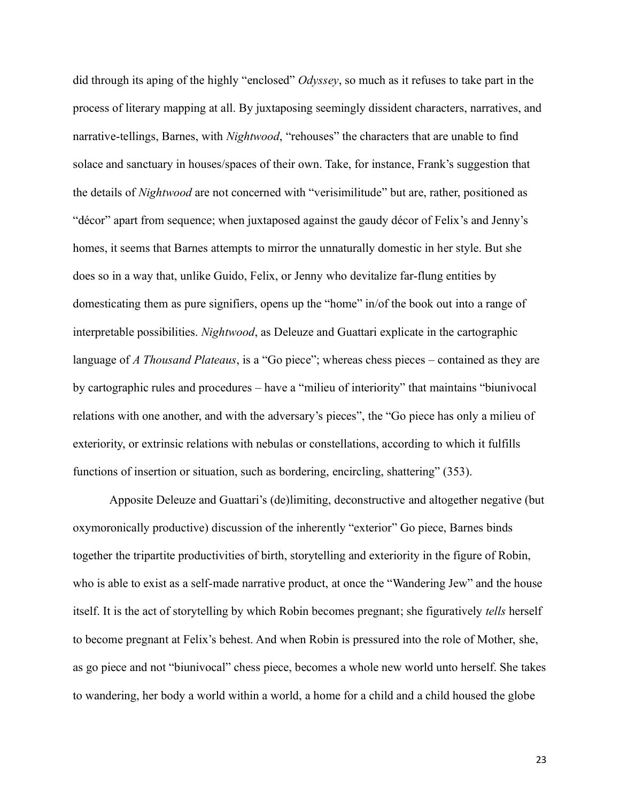did through its aping of the highly "enclosed" *Odyssey*, so much as it refuses to take part in the process of literary mapping at all. By juxtaposing seemingly dissident characters, narratives, and narrative-tellings, Barnes, with *Nightwood*, "rehouses" the characters that are unable to find solace and sanctuary in houses/spaces of their own. Take, for instance, Frank's suggestion that the details of *Nightwood* are not concerned with "verisimilitude" but are, rather, positioned as "décor" apart from sequence; when juxtaposed against the gaudy décor of Felix's and Jenny's homes, it seems that Barnes attempts to mirror the unnaturally domestic in her style. But she does so in a way that, unlike Guido, Felix, or Jenny who devitalize far-flung entities by domesticating them as pure signifiers, opens up the "home" in/of the book out into a range of interpretable possibilities. *Nightwood*, as Deleuze and Guattari explicate in the cartographic language of *A Thousand Plateaus*, is a "Go piece"; whereas chess pieces – contained as they are by cartographic rules and procedures – have a "milieu of interiority" that maintains "biunivocal relations with one another, and with the adversary's pieces", the "Go piece has only a milieu of exteriority, or extrinsic relations with nebulas or constellations, according to which it fulfills functions of insertion or situation, such as bordering, encircling, shattering" (353).

Apposite Deleuze and Guattari's (de)limiting, deconstructive and altogether negative (but oxymoronically productive) discussion of the inherently "exterior" Go piece, Barnes binds together the tripartite productivities of birth, storytelling and exteriority in the figure of Robin, who is able to exist as a self-made narrative product, at once the "Wandering Jew" and the house itself. It is the act of storytelling by which Robin becomes pregnant; she figuratively *tells* herself to become pregnant at Felix's behest. And when Robin is pressured into the role of Mother, she, as go piece and not "biunivocal" chess piece, becomes a whole new world unto herself. She takes to wandering, her body a world within a world, a home for a child and a child housed the globe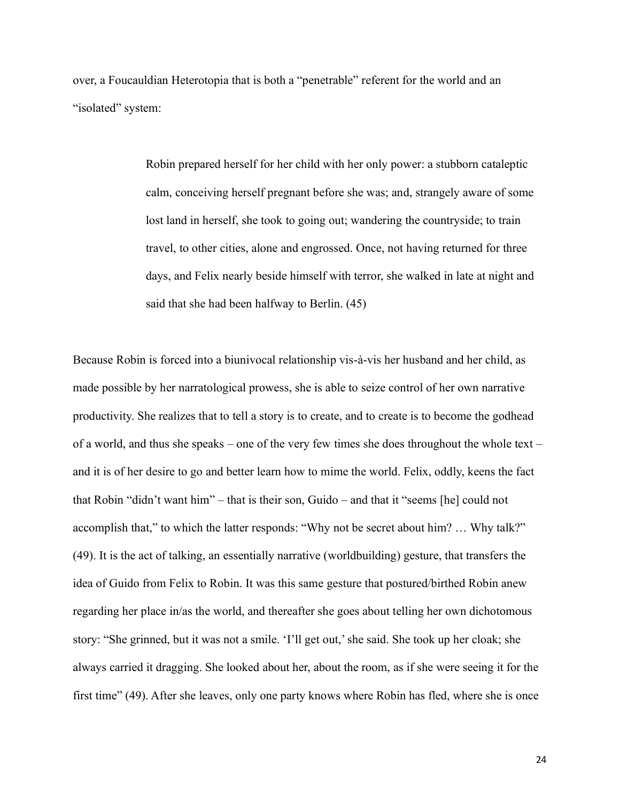over, a Foucauldian Heterotopia that is both a "penetrable" referent for the world and an "isolated" system:

> Robin prepared herself for her child with her only power: a stubborn cataleptic calm, conceiving herself pregnant before she was; and, strangely aware of some lost land in herself, she took to going out; wandering the countryside; to train travel, to other cities, alone and engrossed. Once, not having returned for three days, and Felix nearly beside himself with terror, she walked in late at night and said that she had been halfway to Berlin. (45)

Because Robin is forced into a biunivocal relationship vis-à-vis her husband and her child, as made possible by her narratological prowess, she is able to seize control of her own narrative productivity. She realizes that to tell a story is to create, and to create is to become the godhead of a world, and thus she speaks – one of the very few times she does throughout the whole text – and it is of her desire to go and better learn how to mime the world. Felix, oddly, keens the fact that Robin "didn't want him" – that is their son, Guido – and that it "seems [he] could not accomplish that," to which the latter responds: "Why not be secret about him? … Why talk?" (49). It is the act of talking, an essentially narrative (worldbuilding) gesture, that transfers the idea of Guido from Felix to Robin. It was this same gesture that postured/birthed Robin anew regarding her place in/as the world, and thereafter she goes about telling her own dichotomous story: "She grinned, but it was not a smile. 'I'll get out,' she said. She took up her cloak; she always carried it dragging. She looked about her, about the room, as if she were seeing it for the first time" (49). After she leaves, only one party knows where Robin has fled, where she is once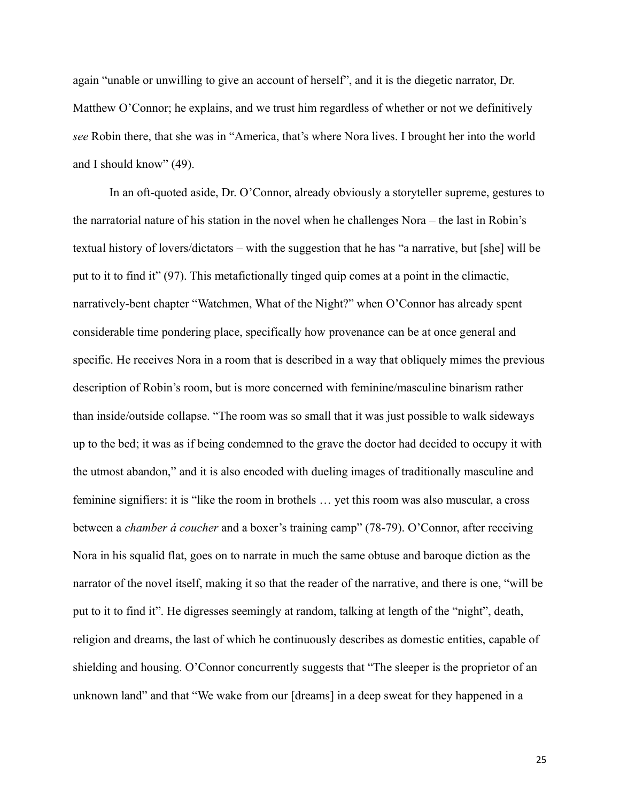again "unable or unwilling to give an account of herself", and it is the diegetic narrator, Dr. Matthew O'Connor; he explains, and we trust him regardless of whether or not we definitively *see* Robin there, that she was in "America, that's where Nora lives. I brought her into the world and I should know" (49).

In an oft-quoted aside, Dr. O'Connor, already obviously a storyteller supreme, gestures to the narratorial nature of his station in the novel when he challenges Nora – the last in Robin's textual history of lovers/dictators – with the suggestion that he has "a narrative, but [she] will be put to it to find it" (97). This metafictionally tinged quip comes at a point in the climactic, narratively-bent chapter "Watchmen, What of the Night?" when O'Connor has already spent considerable time pondering place, specifically how provenance can be at once general and specific. He receives Nora in a room that is described in a way that obliquely mimes the previous description of Robin's room, but is more concerned with feminine/masculine binarism rather than inside/outside collapse. "The room was so small that it was just possible to walk sideways up to the bed; it was as if being condemned to the grave the doctor had decided to occupy it with the utmost abandon," and it is also encoded with dueling images of traditionally masculine and feminine signifiers: it is "like the room in brothels … yet this room was also muscular, a cross between a *chamber á coucher* and a boxer's training camp" (78-79). O'Connor, after receiving Nora in his squalid flat, goes on to narrate in much the same obtuse and baroque diction as the narrator of the novel itself, making it so that the reader of the narrative, and there is one, "will be put to it to find it". He digresses seemingly at random, talking at length of the "night", death, religion and dreams, the last of which he continuously describes as domestic entities, capable of shielding and housing. O'Connor concurrently suggests that "The sleeper is the proprietor of an unknown land" and that "We wake from our [dreams] in a deep sweat for they happened in a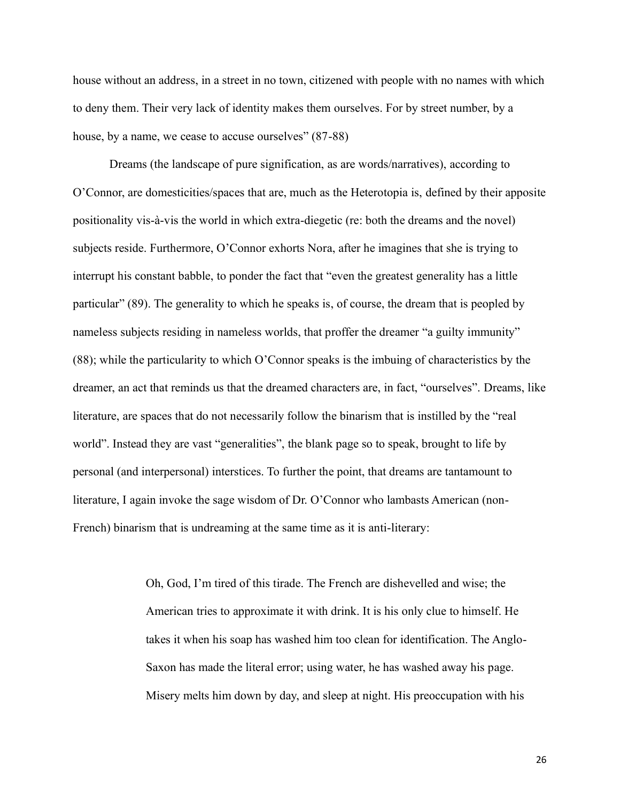house without an address, in a street in no town, citizened with people with no names with which to deny them. Their very lack of identity makes them ourselves. For by street number, by a house, by a name, we cease to accuse ourselves" (87-88)

Dreams (the landscape of pure signification, as are words/narratives), according to O'Connor, are domesticities/spaces that are, much as the Heterotopia is, defined by their apposite positionality vis-à-vis the world in which extra-diegetic (re: both the dreams and the novel) subjects reside. Furthermore, O'Connor exhorts Nora, after he imagines that she is trying to interrupt his constant babble, to ponder the fact that "even the greatest generality has a little particular" (89). The generality to which he speaks is, of course, the dream that is peopled by nameless subjects residing in nameless worlds, that proffer the dreamer "a guilty immunity" (88); while the particularity to which O'Connor speaks is the imbuing of characteristics by the dreamer, an act that reminds us that the dreamed characters are, in fact, "ourselves". Dreams, like literature, are spaces that do not necessarily follow the binarism that is instilled by the "real world". Instead they are vast "generalities", the blank page so to speak, brought to life by personal (and interpersonal) interstices. To further the point, that dreams are tantamount to literature, I again invoke the sage wisdom of Dr. O'Connor who lambasts American (non-French) binarism that is undreaming at the same time as it is anti-literary:

> Oh, God, I'm tired of this tirade. The French are dishevelled and wise; the American tries to approximate it with drink. It is his only clue to himself. He takes it when his soap has washed him too clean for identification. The Anglo-Saxon has made the literal error; using water, he has washed away his page. Misery melts him down by day, and sleep at night. His preoccupation with his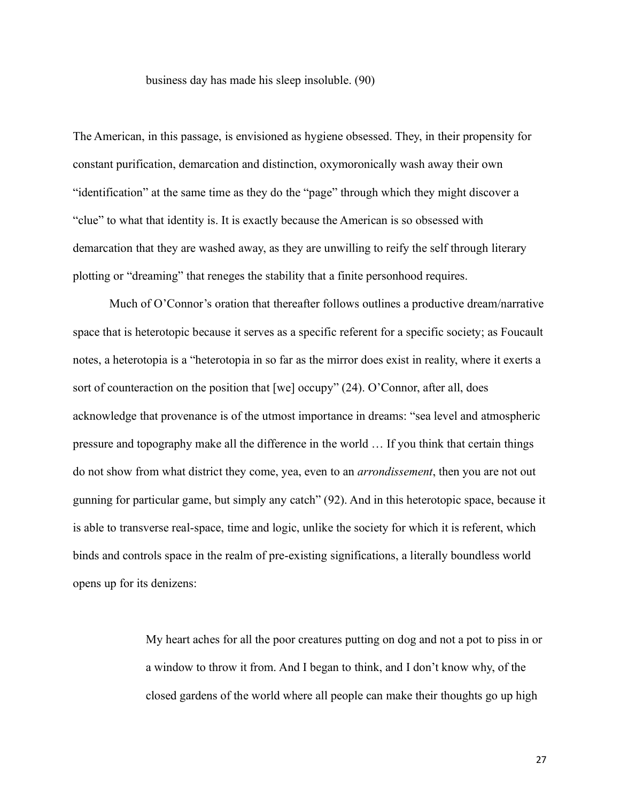### business day has made his sleep insoluble. (90)

The American, in this passage, is envisioned as hygiene obsessed. They, in their propensity for constant purification, demarcation and distinction, oxymoronically wash away their own "identification" at the same time as they do the "page" through which they might discover a "clue" to what that identity is. It is exactly because the American is so obsessed with demarcation that they are washed away, as they are unwilling to reify the self through literary plotting or "dreaming" that reneges the stability that a finite personhood requires.

Much of O'Connor's oration that thereafter follows outlines a productive dream/narrative space that is heterotopic because it serves as a specific referent for a specific society; as Foucault notes, a heterotopia is a "heterotopia in so far as the mirror does exist in reality, where it exerts a sort of counteraction on the position that [we] occupy" (24). O'Connor, after all, does acknowledge that provenance is of the utmost importance in dreams: "sea level and atmospheric pressure and topography make all the difference in the world … If you think that certain things do not show from what district they come, yea, even to an *arrondissement*, then you are not out gunning for particular game, but simply any catch" (92). And in this heterotopic space, because it is able to transverse real-space, time and logic, unlike the society for which it is referent, which binds and controls space in the realm of pre-existing significations, a literally boundless world opens up for its denizens:

> My heart aches for all the poor creatures putting on dog and not a pot to piss in or a window to throw it from. And I began to think, and I don't know why, of the closed gardens of the world where all people can make their thoughts go up high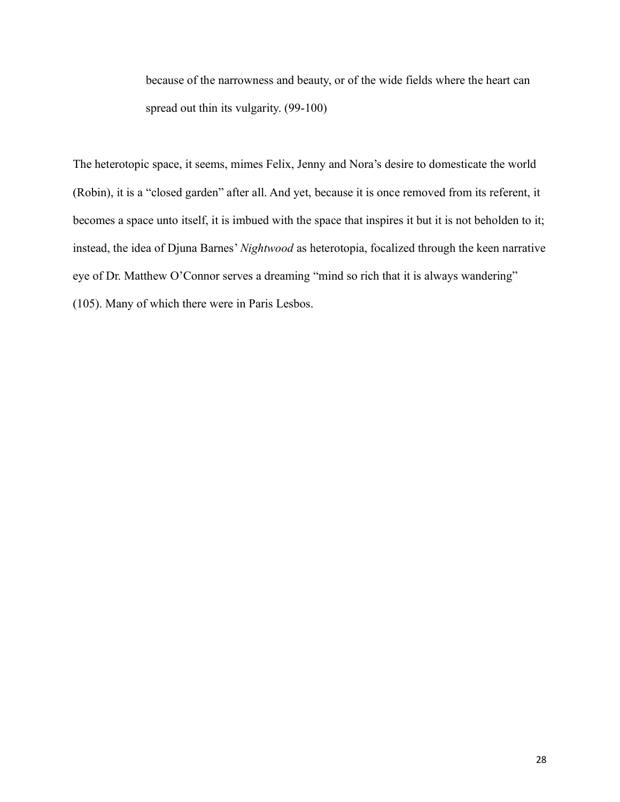because of the narrowness and beauty, or of the wide fields where the heart can spread out thin its vulgarity. (99-100)

The heterotopic space, it seems, mimes Felix, Jenny and Nora's desire to domesticate the world (Robin), it is a "closed garden" after all. And yet, because it is once removed from its referent, it becomes a space unto itself, it is imbued with the space that inspires it but it is not beholden to it; instead, the idea of Djuna Barnes' *Nightwood* as heterotopia, focalized through the keen narrative eye of Dr. Matthew O'Connor serves a dreaming "mind so rich that it is always wandering" (105). Many of which there were in Paris Lesbos.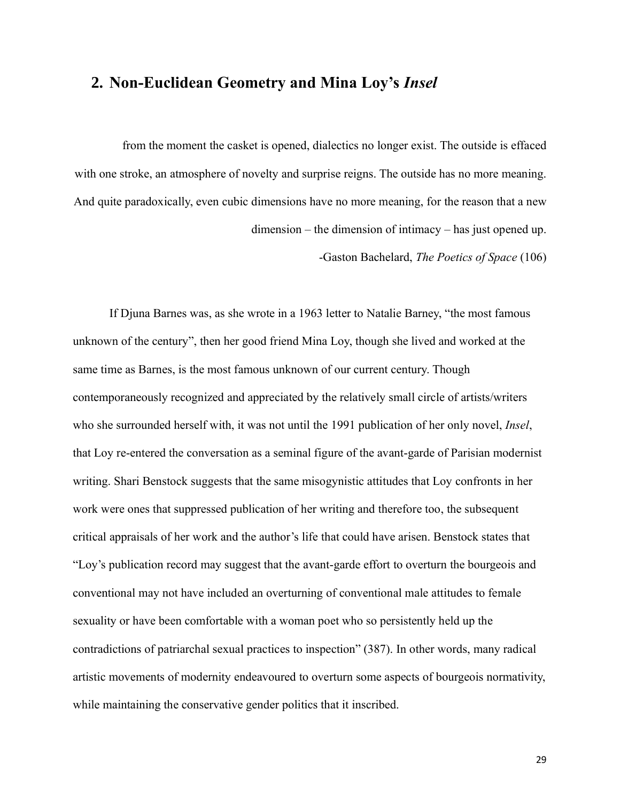# **2. Non-Euclidean Geometry and Mina Loy's** *Insel*

from the moment the casket is opened, dialectics no longer exist. The outside is effaced with one stroke, an atmosphere of novelty and surprise reigns. The outside has no more meaning. And quite paradoxically, even cubic dimensions have no more meaning, for the reason that a new dimension – the dimension of intimacy – has just opened up.

-Gaston Bachelard, *The Poetics of Space* (106)

If Djuna Barnes was, as she wrote in a 1963 letter to Natalie Barney, "the most famous unknown of the century", then her good friend Mina Loy, though she lived and worked at the same time as Barnes, is the most famous unknown of our current century. Though contemporaneously recognized and appreciated by the relatively small circle of artists/writers who she surrounded herself with, it was not until the 1991 publication of her only novel, *Insel*, that Loy re-entered the conversation as a seminal figure of the avant-garde of Parisian modernist writing. Shari Benstock suggests that the same misogynistic attitudes that Loy confronts in her work were ones that suppressed publication of her writing and therefore too, the subsequent critical appraisals of her work and the author's life that could have arisen. Benstock states that "Loy's publication record may suggest that the avant-garde effort to overturn the bourgeois and conventional may not have included an overturning of conventional male attitudes to female sexuality or have been comfortable with a woman poet who so persistently held up the contradictions of patriarchal sexual practices to inspection" (387). In other words, many radical artistic movements of modernity endeavoured to overturn some aspects of bourgeois normativity, while maintaining the conservative gender politics that it inscribed.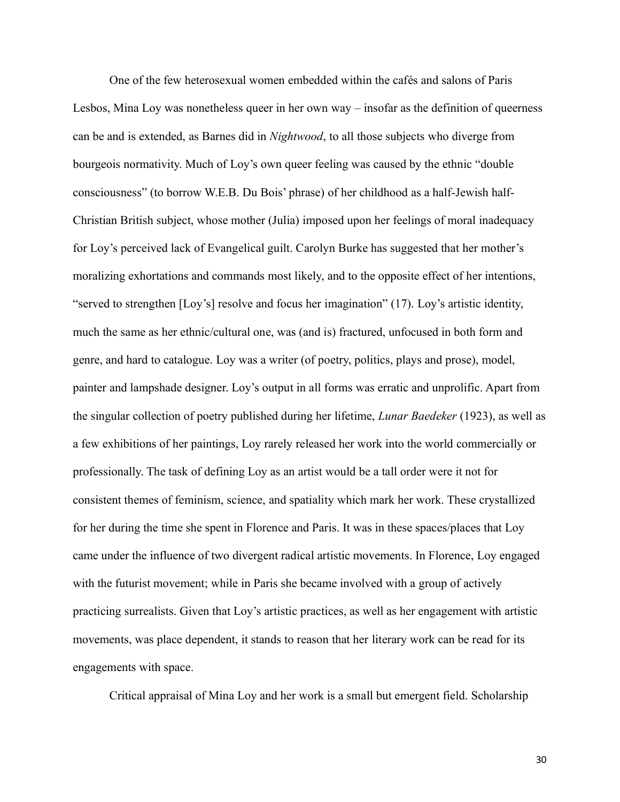One of the few heterosexual women embedded within the cafés and salons of Paris Lesbos, Mina Loy was nonetheless queer in her own way – insofar as the definition of queerness can be and is extended, as Barnes did in *Nightwood*, to all those subjects who diverge from bourgeois normativity. Much of Loy's own queer feeling was caused by the ethnic "double consciousness" (to borrow W.E.B. Du Bois' phrase) of her childhood as a half-Jewish half-Christian British subject, whose mother (Julia) imposed upon her feelings of moral inadequacy for Loy's perceived lack of Evangelical guilt. Carolyn Burke has suggested that her mother's moralizing exhortations and commands most likely, and to the opposite effect of her intentions, "served to strengthen [Loy's] resolve and focus her imagination" (17). Loy's artistic identity, much the same as her ethnic/cultural one, was (and is) fractured, unfocused in both form and genre, and hard to catalogue. Loy was a writer (of poetry, politics, plays and prose), model, painter and lampshade designer. Loy's output in all forms was erratic and unprolific. Apart from the singular collection of poetry published during her lifetime, *Lunar Baedeker* (1923), as well as a few exhibitions of her paintings, Loy rarely released her work into the world commercially or professionally. The task of defining Loy as an artist would be a tall order were it not for consistent themes of feminism, science, and spatiality which mark her work. These crystallized for her during the time she spent in Florence and Paris. It was in these spaces/places that Loy came under the influence of two divergent radical artistic movements. In Florence, Loy engaged with the futurist movement; while in Paris she became involved with a group of actively practicing surrealists. Given that Loy's artistic practices, as well as her engagement with artistic movements, was place dependent, it stands to reason that her literary work can be read for its engagements with space.

Critical appraisal of Mina Loy and her work is a small but emergent field. Scholarship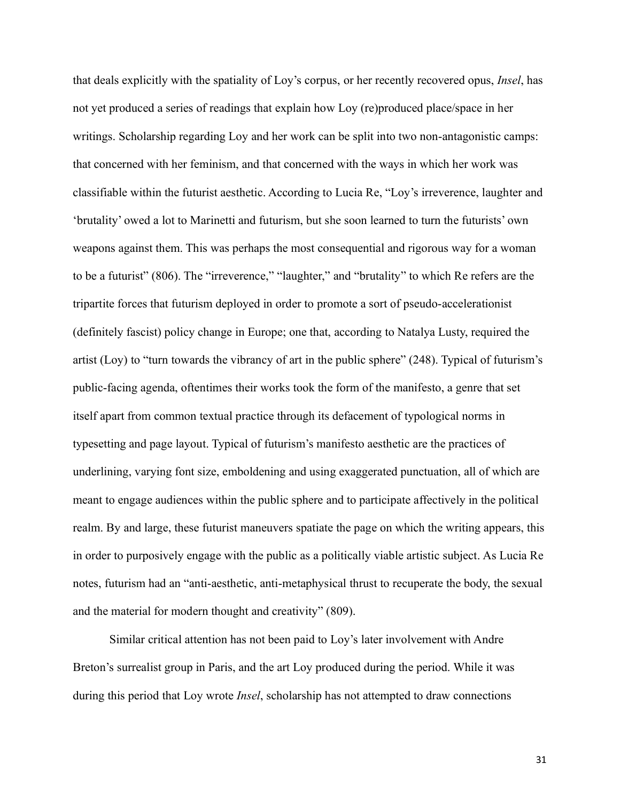that deals explicitly with the spatiality of Loy's corpus, or her recently recovered opus, *Insel*, has not yet produced a series of readings that explain how Loy (re)produced place/space in her writings. Scholarship regarding Loy and her work can be split into two non-antagonistic camps: that concerned with her feminism, and that concerned with the ways in which her work was classifiable within the futurist aesthetic. According to Lucia Re, "Loy's irreverence, laughter and 'brutality' owed a lot to Marinetti and futurism, but she soon learned to turn the futurists' own weapons against them. This was perhaps the most consequential and rigorous way for a woman to be a futurist" (806). The "irreverence," "laughter," and "brutality" to which Re refers are the tripartite forces that futurism deployed in order to promote a sort of pseudo-accelerationist (definitely fascist) policy change in Europe; one that, according to Natalya Lusty, required the artist (Loy) to "turn towards the vibrancy of art in the public sphere" (248). Typical of futurism's public-facing agenda, oftentimes their works took the form of the manifesto, a genre that set itself apart from common textual practice through its defacement of typological norms in typesetting and page layout. Typical of futurism's manifesto aesthetic are the practices of underlining, varying font size, emboldening and using exaggerated punctuation, all of which are meant to engage audiences within the public sphere and to participate affectively in the political realm. By and large, these futurist maneuvers spatiate the page on which the writing appears, this in order to purposively engage with the public as a politically viable artistic subject. As Lucia Re notes, futurism had an "anti-aesthetic, anti-metaphysical thrust to recuperate the body, the sexual and the material for modern thought and creativity" (809).

Similar critical attention has not been paid to Loy's later involvement with Andre Breton's surrealist group in Paris, and the art Loy produced during the period. While it was during this period that Loy wrote *Insel*, scholarship has not attempted to draw connections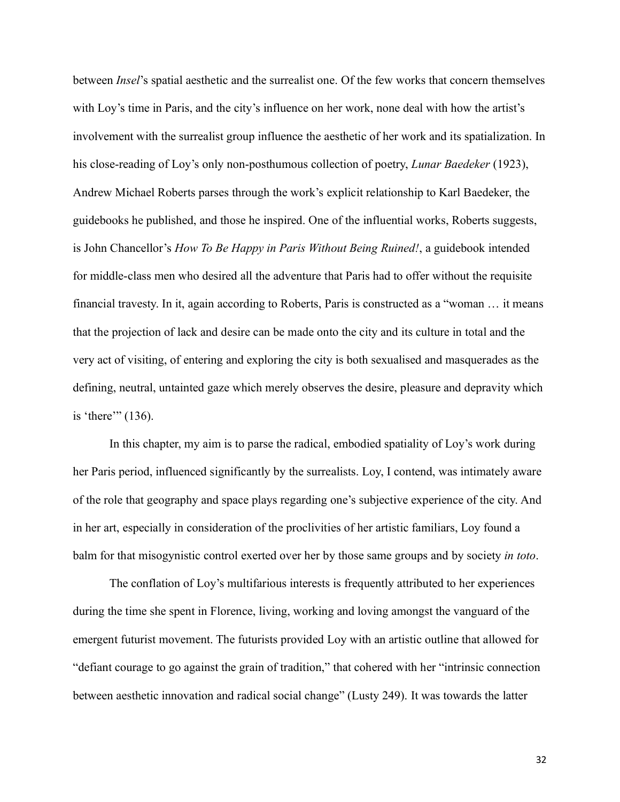between *Insel*'s spatial aesthetic and the surrealist one. Of the few works that concern themselves with Loy's time in Paris, and the city's influence on her work, none deal with how the artist's involvement with the surrealist group influence the aesthetic of her work and its spatialization. In his close-reading of Loy's only non-posthumous collection of poetry, *Lunar Baedeker* (1923), Andrew Michael Roberts parses through the work's explicit relationship to Karl Baedeker, the guidebooks he published, and those he inspired. One of the influential works, Roberts suggests, is John Chancellor's *How To Be Happy in Paris Without Being Ruined!*, a guidebook intended for middle-class men who desired all the adventure that Paris had to offer without the requisite financial travesty. In it, again according to Roberts, Paris is constructed as a "woman … it means that the projection of lack and desire can be made onto the city and its culture in total and the very act of visiting, of entering and exploring the city is both sexualised and masquerades as the defining, neutral, untainted gaze which merely observes the desire, pleasure and depravity which is 'there'" (136).

In this chapter, my aim is to parse the radical, embodied spatiality of Loy's work during her Paris period, influenced significantly by the surrealists. Loy, I contend, was intimately aware of the role that geography and space plays regarding one's subjective experience of the city. And in her art, especially in consideration of the proclivities of her artistic familiars, Loy found a balm for that misogynistic control exerted over her by those same groups and by society *in toto*.

The conflation of Loy's multifarious interests is frequently attributed to her experiences during the time she spent in Florence, living, working and loving amongst the vanguard of the emergent futurist movement. The futurists provided Loy with an artistic outline that allowed for "defiant courage to go against the grain of tradition," that cohered with her "intrinsic connection between aesthetic innovation and radical social change" (Lusty 249). It was towards the latter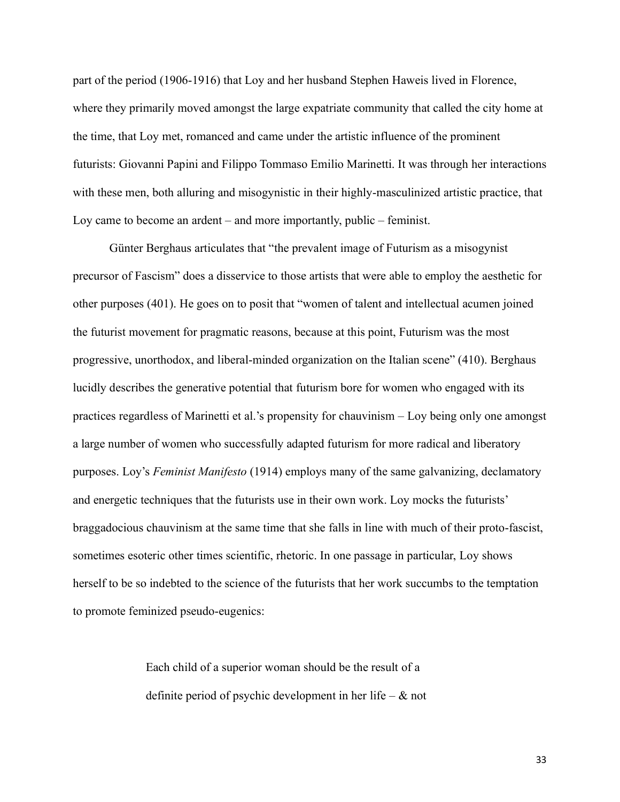part of the period (1906-1916) that Loy and her husband Stephen Haweis lived in Florence, where they primarily moved amongst the large expatriate community that called the city home at the time, that Loy met, romanced and came under the artistic influence of the prominent futurists: Giovanni Papini and Filippo Tommaso Emilio Marinetti. It was through her interactions with these men, both alluring and misogynistic in their highly-masculinized artistic practice, that Loy came to become an ardent – and more importantly, public – feminist.

Günter Berghaus articulates that "the prevalent image of Futurism as a misogynist precursor of Fascism" does a disservice to those artists that were able to employ the aesthetic for other purposes (401). He goes on to posit that "women of talent and intellectual acumen joined the futurist movement for pragmatic reasons, because at this point, Futurism was the most progressive, unorthodox, and liberal-minded organization on the Italian scene" (410). Berghaus lucidly describes the generative potential that futurism bore for women who engaged with its practices regardless of Marinetti et al.'s propensity for chauvinism – Loy being only one amongst a large number of women who successfully adapted futurism for more radical and liberatory purposes. Loy's *Feminist Manifesto* (1914) employs many of the same galvanizing, declamatory and energetic techniques that the futurists use in their own work. Loy mocks the futurists' braggadocious chauvinism at the same time that she falls in line with much of their proto-fascist, sometimes esoteric other times scientific, rhetoric. In one passage in particular, Loy shows herself to be so indebted to the science of the futurists that her work succumbs to the temptation to promote feminized pseudo-eugenics:

> Each child of a superior woman should be the result of a definite period of psychic development in her life –  $\&$  not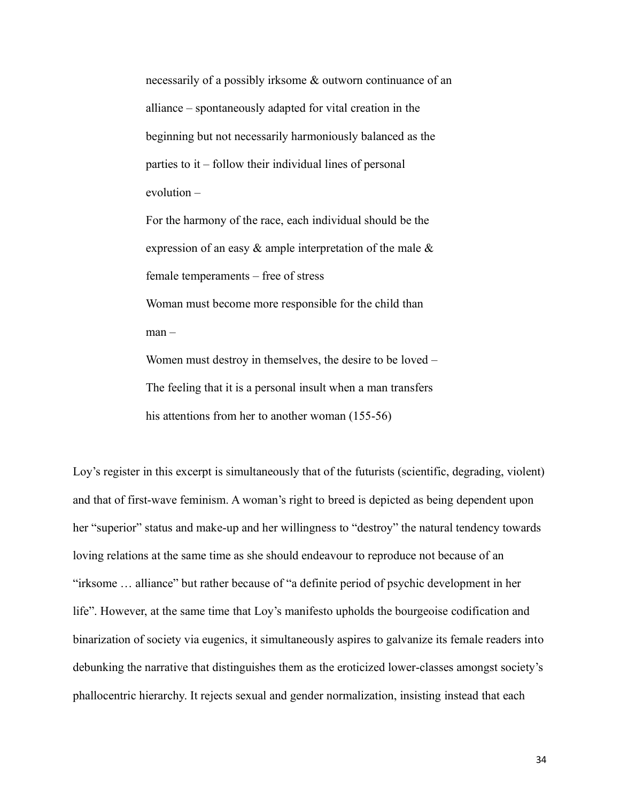necessarily of a possibly irksome & outworn continuance of an alliance – spontaneously adapted for vital creation in the beginning but not necessarily harmoniously balanced as the parties to it – follow their individual lines of personal evolution –

For the harmony of the race, each individual should be the expression of an easy & ample interpretation of the male & female temperaments – free of stress Woman must become more responsible for the child than man – Women must destroy in themselves, the desire to be loved –

The feeling that it is a personal insult when a man transfers his attentions from her to another woman (155-56)

Loy's register in this excerpt is simultaneously that of the futurists (scientific, degrading, violent) and that of first-wave feminism. A woman's right to breed is depicted as being dependent upon her "superior" status and make-up and her willingness to "destroy" the natural tendency towards loving relations at the same time as she should endeavour to reproduce not because of an "irksome … alliance" but rather because of "a definite period of psychic development in her life". However, at the same time that Loy's manifesto upholds the bourgeoise codification and binarization of society via eugenics, it simultaneously aspires to galvanize its female readers into debunking the narrative that distinguishes them as the eroticized lower-classes amongst society's phallocentric hierarchy. It rejects sexual and gender normalization, insisting instead that each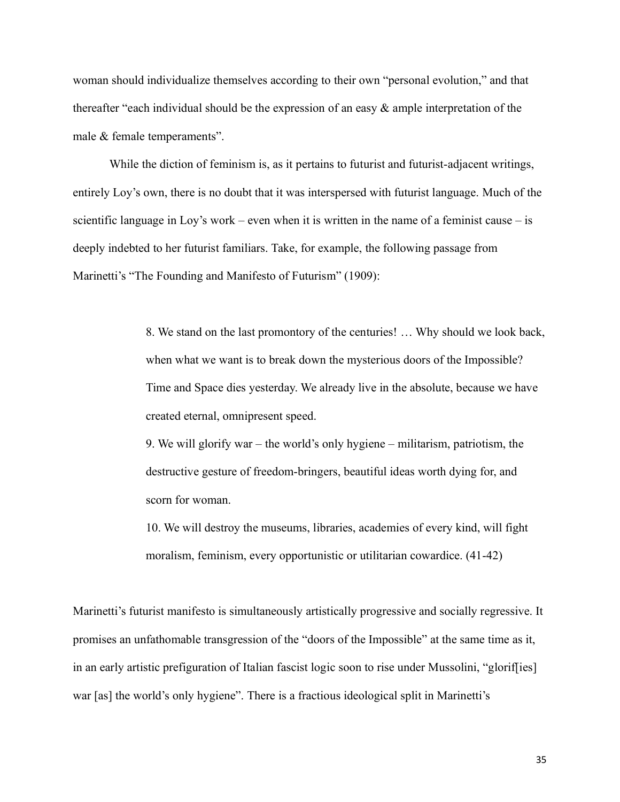woman should individualize themselves according to their own "personal evolution," and that thereafter "each individual should be the expression of an easy & ample interpretation of the male & female temperaments".

While the diction of feminism is, as it pertains to futurist and futurist-adjacent writings, entirely Loy's own, there is no doubt that it was interspersed with futurist language. Much of the scientific language in Loy's work – even when it is written in the name of a feminist cause – is deeply indebted to her futurist familiars. Take, for example, the following passage from Marinetti's "The Founding and Manifesto of Futurism" (1909):

> 8. We stand on the last promontory of the centuries! … Why should we look back, when what we want is to break down the mysterious doors of the Impossible? Time and Space dies yesterday. We already live in the absolute, because we have created eternal, omnipresent speed.

9. We will glorify war – the world's only hygiene – militarism, patriotism, the destructive gesture of freedom-bringers, beautiful ideas worth dying for, and scorn for woman.

10. We will destroy the museums, libraries, academies of every kind, will fight moralism, feminism, every opportunistic or utilitarian cowardice. (41-42)

Marinetti's futurist manifesto is simultaneously artistically progressive and socially regressive. It promises an unfathomable transgression of the "doors of the Impossible" at the same time as it, in an early artistic prefiguration of Italian fascist logic soon to rise under Mussolini, "glorif[ies] war [as] the world's only hygiene". There is a fractious ideological split in Marinetti's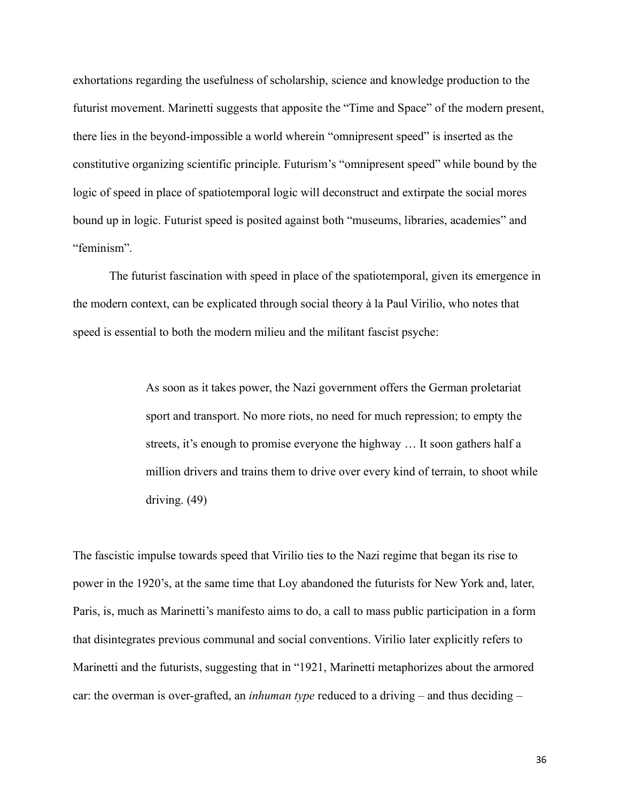exhortations regarding the usefulness of scholarship, science and knowledge production to the futurist movement. Marinetti suggests that apposite the "Time and Space" of the modern present, there lies in the beyond-impossible a world wherein "omnipresent speed" is inserted as the constitutive organizing scientific principle. Futurism's "omnipresent speed" while bound by the logic of speed in place of spatiotemporal logic will deconstruct and extirpate the social mores bound up in logic. Futurist speed is posited against both "museums, libraries, academies" and "feminism".

The futurist fascination with speed in place of the spatiotemporal, given its emergence in the modern context, can be explicated through social theory à la Paul Virilio, who notes that speed is essential to both the modern milieu and the militant fascist psyche:

> As soon as it takes power, the Nazi government offers the German proletariat sport and transport. No more riots, no need for much repression; to empty the streets, it's enough to promise everyone the highway … It soon gathers half a million drivers and trains them to drive over every kind of terrain, to shoot while driving. (49)

The fascistic impulse towards speed that Virilio ties to the Nazi regime that began its rise to power in the 1920's, at the same time that Loy abandoned the futurists for New York and, later, Paris, is, much as Marinetti's manifesto aims to do, a call to mass public participation in a form that disintegrates previous communal and social conventions. Virilio later explicitly refers to Marinetti and the futurists, suggesting that in "1921, Marinetti metaphorizes about the armored car: the overman is over-grafted, an *inhuman type* reduced to a driving – and thus deciding –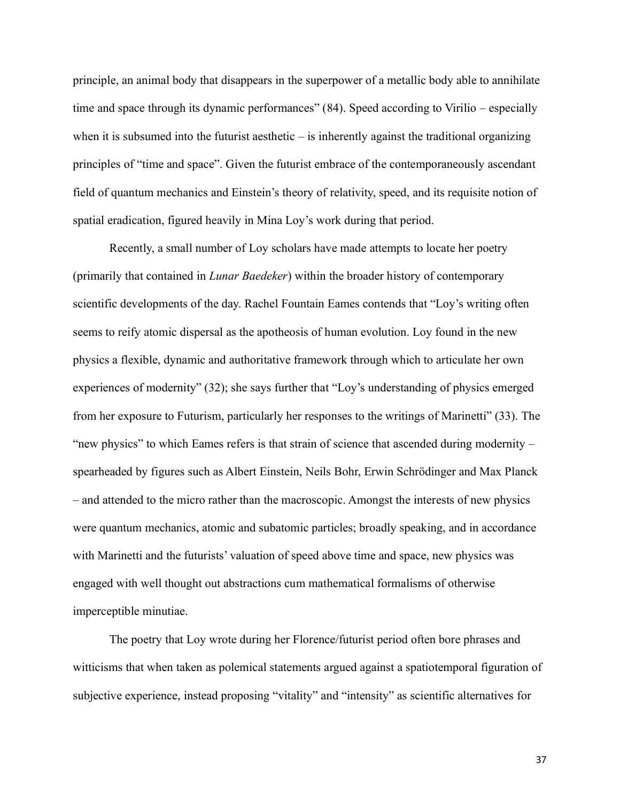principle, an animal body that disappears in the superpower of a metallic body able to annihilate time and space through its dynamic performances" (84). Speed according to Virilio – especially when it is subsumed into the futurist aesthetic  $-$  is inherently against the traditional organizing principles of "time and space". Given the futurist embrace of the contemporaneously ascendant field of quantum mechanics and Einstein's theory of relativity, speed, and its requisite notion of spatial eradication, figured heavily in Mina Loy's work during that period.

Recently, a small number of Loy scholars have made attempts to locate her poetry (primarily that contained in *Lunar Baedeker*) within the broader history of contemporary scientific developments of the day. Rachel Fountain Eames contends that "Loy's writing often seems to reify atomic dispersal as the apotheosis of human evolution. Loy found in the new physics a flexible, dynamic and authoritative framework through which to articulate her own experiences of modernity" (32); she says further that "Loy's understanding of physics emerged from her exposure to Futurism, particularly her responses to the writings of Marinetti" (33). The "new physics" to which Eames refers is that strain of science that ascended during modernity – spearheaded by figures such as Albert Einstein, Neils Bohr, Erwin Schrödinger and Max Planck – and attended to the micro rather than the macroscopic. Amongst the interests of new physics were quantum mechanics, atomic and subatomic particles; broadly speaking, and in accordance with Marinetti and the futurists' valuation of speed above time and space, new physics was engaged with well thought out abstractions cum mathematical formalisms of otherwise imperceptible minutiae.

The poetry that Loy wrote during her Florence/futurist period often bore phrases and witticisms that when taken as polemical statements argued against a spatiotemporal figuration of subjective experience, instead proposing "vitality" and "intensity" as scientific alternatives for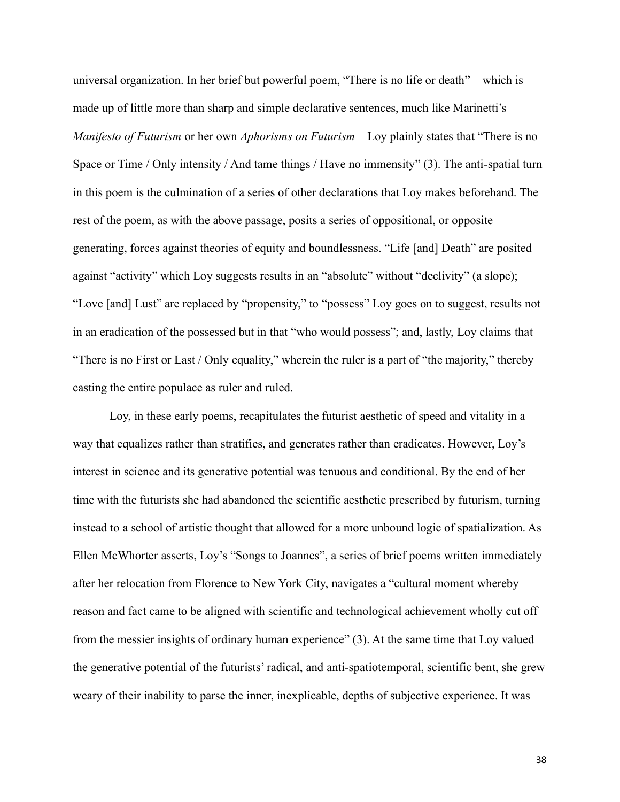universal organization. In her brief but powerful poem, "There is no life or death" – which is made up of little more than sharp and simple declarative sentences, much like Marinetti's *Manifesto of Futurism* or her own *Aphorisms on Futurism* – Loy plainly states that "There is no Space or Time / Only intensity / And tame things / Have no immensity" (3). The anti-spatial turn in this poem is the culmination of a series of other declarations that Loy makes beforehand. The rest of the poem, as with the above passage, posits a series of oppositional, or opposite generating, forces against theories of equity and boundlessness. "Life [and] Death" are posited against "activity" which Loy suggests results in an "absolute" without "declivity" (a slope); "Love [and] Lust" are replaced by "propensity," to "possess" Loy goes on to suggest, results not in an eradication of the possessed but in that "who would possess"; and, lastly, Loy claims that "There is no First or Last / Only equality," wherein the ruler is a part of "the majority," thereby casting the entire populace as ruler and ruled.

Loy, in these early poems, recapitulates the futurist aesthetic of speed and vitality in a way that equalizes rather than stratifies, and generates rather than eradicates. However, Loy's interest in science and its generative potential was tenuous and conditional. By the end of her time with the futurists she had abandoned the scientific aesthetic prescribed by futurism, turning instead to a school of artistic thought that allowed for a more unbound logic of spatialization. As Ellen McWhorter asserts, Loy's "Songs to Joannes", a series of brief poems written immediately after her relocation from Florence to New York City, navigates a "cultural moment whereby reason and fact came to be aligned with scientific and technological achievement wholly cut off from the messier insights of ordinary human experience" (3). At the same time that Loy valued the generative potential of the futurists' radical, and anti-spatiotemporal, scientific bent, she grew weary of their inability to parse the inner, inexplicable, depths of subjective experience. It was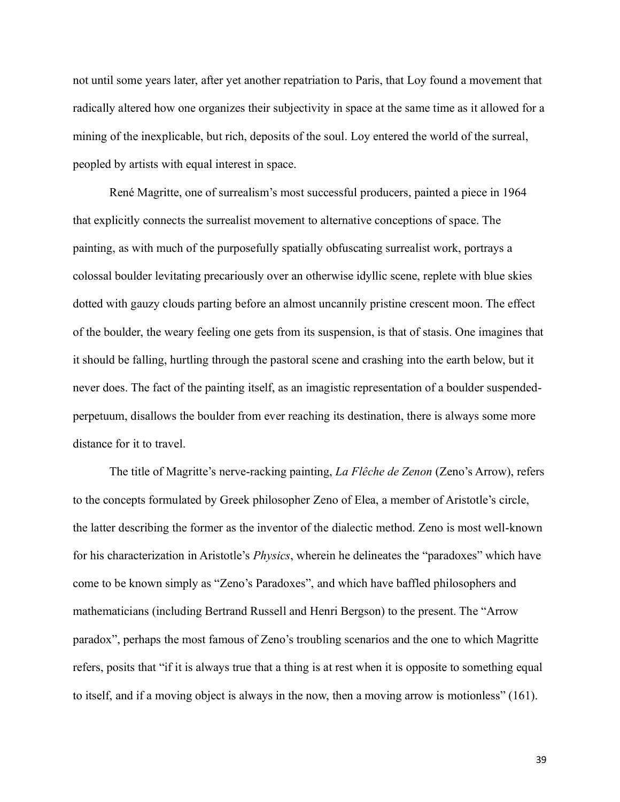not until some years later, after yet another repatriation to Paris, that Loy found a movement that radically altered how one organizes their subjectivity in space at the same time as it allowed for a mining of the inexplicable, but rich, deposits of the soul. Loy entered the world of the surreal, peopled by artists with equal interest in space.

René Magritte, one of surrealism's most successful producers, painted a piece in 1964 that explicitly connects the surrealist movement to alternative conceptions of space. The painting, as with much of the purposefully spatially obfuscating surrealist work, portrays a colossal boulder levitating precariously over an otherwise idyllic scene, replete with blue skies dotted with gauzy clouds parting before an almost uncannily pristine crescent moon. The effect of the boulder, the weary feeling one gets from its suspension, is that of stasis. One imagines that it should be falling, hurtling through the pastoral scene and crashing into the earth below, but it never does. The fact of the painting itself, as an imagistic representation of a boulder suspendedperpetuum, disallows the boulder from ever reaching its destination, there is always some more distance for it to travel.

The title of Magritte's nerve-racking painting, *La Flêche de Zenon* (Zeno's Arrow), refers to the concepts formulated by Greek philosopher Zeno of Elea, a member of Aristotle's circle, the latter describing the former as the inventor of the dialectic method. Zeno is most well-known for his characterization in Aristotle's *Physics*, wherein he delineates the "paradoxes" which have come to be known simply as "Zeno's Paradoxes", and which have baffled philosophers and mathematicians (including Bertrand Russell and Henri Bergson) to the present. The "Arrow paradox", perhaps the most famous of Zeno's troubling scenarios and the one to which Magritte refers, posits that "if it is always true that a thing is at rest when it is opposite to something equal to itself, and if a moving object is always in the now, then a moving arrow is motionless" (161).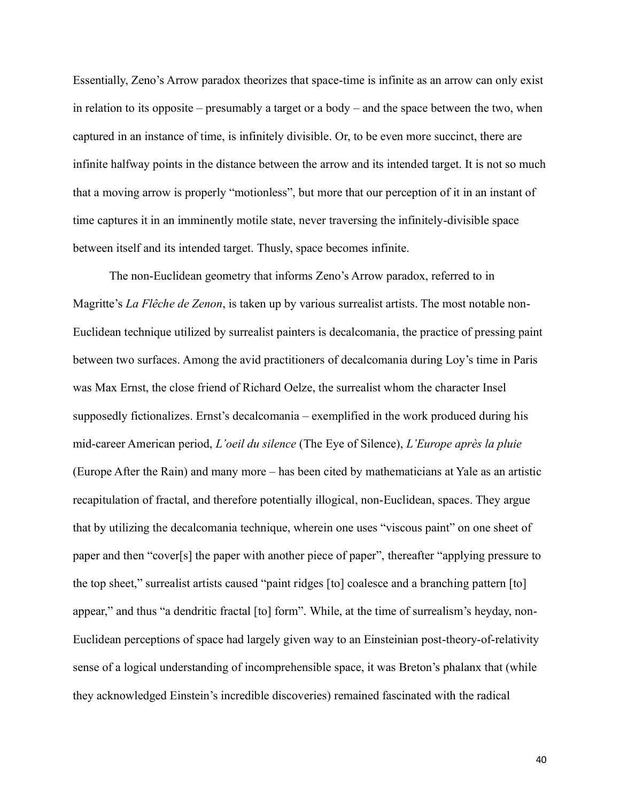Essentially, Zeno's Arrow paradox theorizes that space-time is infinite as an arrow can only exist in relation to its opposite – presumably a target or a body – and the space between the two, when captured in an instance of time, is infinitely divisible. Or, to be even more succinct, there are infinite halfway points in the distance between the arrow and its intended target. It is not so much that a moving arrow is properly "motionless", but more that our perception of it in an instant of time captures it in an imminently motile state, never traversing the infinitely-divisible space between itself and its intended target. Thusly, space becomes infinite.

The non-Euclidean geometry that informs Zeno's Arrow paradox, referred to in Magritte's *La Flêche de Zenon*, is taken up by various surrealist artists. The most notable non-Euclidean technique utilized by surrealist painters is decalcomania, the practice of pressing paint between two surfaces. Among the avid practitioners of decalcomania during Loy's time in Paris was Max Ernst, the close friend of Richard Oelze, the surrealist whom the character Insel supposedly fictionalizes. Ernst's decalcomania – exemplified in the work produced during his mid-career American period, *L'oeil du silence* (The Eye of Silence), *L'Europe après la pluie*  (Europe After the Rain) and many more – has been cited by mathematicians at Yale as an artistic recapitulation of fractal, and therefore potentially illogical, non-Euclidean, spaces. They argue that by utilizing the decalcomania technique, wherein one uses "viscous paint" on one sheet of paper and then "cover[s] the paper with another piece of paper", thereafter "applying pressure to the top sheet," surrealist artists caused "paint ridges [to] coalesce and a branching pattern [to] appear," and thus "a dendritic fractal [to] form". While, at the time of surrealism's heyday, non-Euclidean perceptions of space had largely given way to an Einsteinian post-theory-of-relativity sense of a logical understanding of incomprehensible space, it was Breton's phalanx that (while they acknowledged Einstein's incredible discoveries) remained fascinated with the radical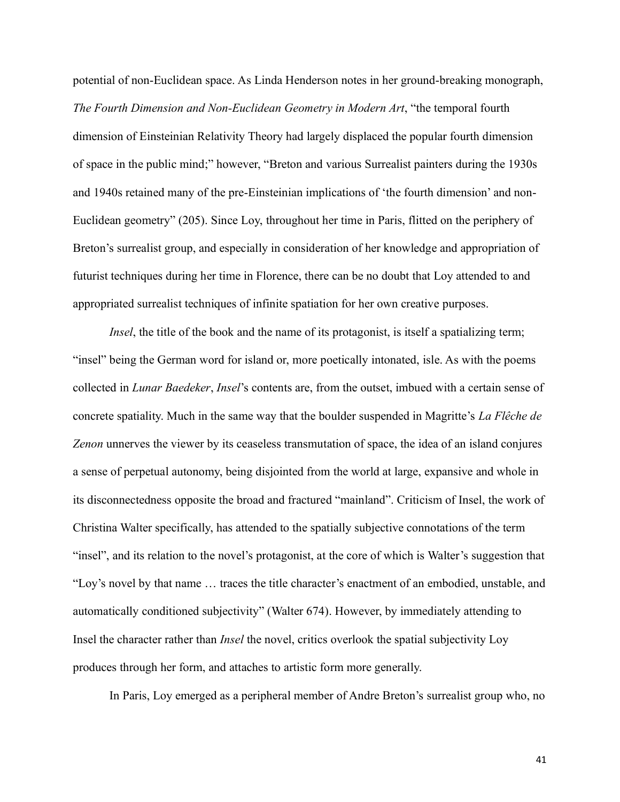potential of non-Euclidean space. As Linda Henderson notes in her ground-breaking monograph, *The Fourth Dimension and Non-Euclidean Geometry in Modern Art*, "the temporal fourth dimension of Einsteinian Relativity Theory had largely displaced the popular fourth dimension of space in the public mind;" however, "Breton and various Surrealist painters during the 1930s and 1940s retained many of the pre-Einsteinian implications of 'the fourth dimension' and non-Euclidean geometry" (205). Since Loy, throughout her time in Paris, flitted on the periphery of Breton's surrealist group, and especially in consideration of her knowledge and appropriation of futurist techniques during her time in Florence, there can be no doubt that Loy attended to and appropriated surrealist techniques of infinite spatiation for her own creative purposes.

*Insel*, the title of the book and the name of its protagonist, is itself a spatializing term; "insel" being the German word for island or, more poetically intonated, isle. As with the poems collected in *Lunar Baedeker*, *Insel*'s contents are, from the outset, imbued with a certain sense of concrete spatiality. Much in the same way that the boulder suspended in Magritte's *La Flêche de Zenon* unnerves the viewer by its ceaseless transmutation of space, the idea of an island conjures a sense of perpetual autonomy, being disjointed from the world at large, expansive and whole in its disconnectedness opposite the broad and fractured "mainland". Criticism of Insel, the work of Christina Walter specifically, has attended to the spatially subjective connotations of the term "insel", and its relation to the novel's protagonist, at the core of which is Walter's suggestion that "Loy's novel by that name … traces the title character's enactment of an embodied, unstable, and automatically conditioned subjectivity" (Walter 674). However, by immediately attending to Insel the character rather than *Insel* the novel, critics overlook the spatial subjectivity Loy produces through her form, and attaches to artistic form more generally.

In Paris, Loy emerged as a peripheral member of Andre Breton's surrealist group who, no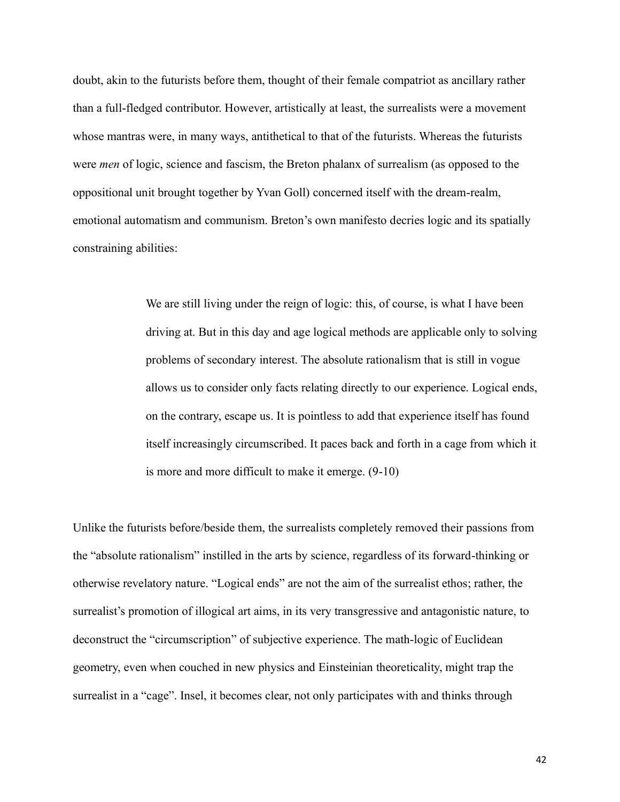doubt, akin to the futurists before them, thought of their female compatriot as ancillary rather than a full-fledged contributor. However, artistically at least, the surrealists were a movement whose mantras were, in many ways, antithetical to that of the futurists. Whereas the futurists were *men* of logic, science and fascism, the Breton phalanx of surrealism (as opposed to the oppositional unit brought together by Yvan Goll) concerned itself with the dream-realm, emotional automatism and communism. Breton's own manifesto decries logic and its spatially constraining abilities:

> We are still living under the reign of logic: this, of course, is what I have been driving at. But in this day and age logical methods are applicable only to solving problems of secondary interest. The absolute rationalism that is still in vogue allows us to consider only facts relating directly to our experience. Logical ends, on the contrary, escape us. It is pointless to add that experience itself has found itself increasingly circumscribed. It paces back and forth in a cage from which it is more and more difficult to make it emerge. (9-10)

Unlike the futurists before/beside them, the surrealists completely removed their passions from the "absolute rationalism" instilled in the arts by science, regardless of its forward-thinking or otherwise revelatory nature. "Logical ends" are not the aim of the surrealist ethos; rather, the surrealist's promotion of illogical art aims, in its very transgressive and antagonistic nature, to deconstruct the "circumscription" of subjective experience. The math-logic of Euclidean geometry, even when couched in new physics and Einsteinian theoreticality, might trap the surrealist in a "cage". Insel, it becomes clear, not only participates with and thinks through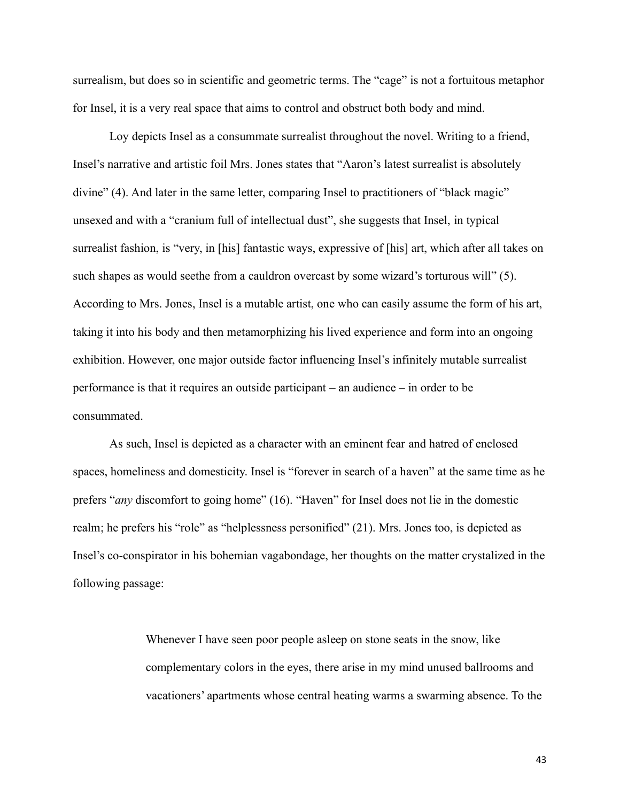surrealism, but does so in scientific and geometric terms. The "cage" is not a fortuitous metaphor for Insel, it is a very real space that aims to control and obstruct both body and mind.

Loy depicts Insel as a consummate surrealist throughout the novel. Writing to a friend, Insel's narrative and artistic foil Mrs. Jones states that "Aaron's latest surrealist is absolutely divine" (4). And later in the same letter, comparing Insel to practitioners of "black magic" unsexed and with a "cranium full of intellectual dust", she suggests that Insel, in typical surrealist fashion, is "very, in [his] fantastic ways, expressive of [his] art, which after all takes on such shapes as would seethe from a cauldron overcast by some wizard's torturous will" (5). According to Mrs. Jones, Insel is a mutable artist, one who can easily assume the form of his art, taking it into his body and then metamorphizing his lived experience and form into an ongoing exhibition. However, one major outside factor influencing Insel's infinitely mutable surrealist performance is that it requires an outside participant – an audience – in order to be consummated.

As such, Insel is depicted as a character with an eminent fear and hatred of enclosed spaces, homeliness and domesticity. Insel is "forever in search of a haven" at the same time as he prefers "*any* discomfort to going home" (16). "Haven" for Insel does not lie in the domestic realm; he prefers his "role" as "helplessness personified" (21). Mrs. Jones too, is depicted as Insel's co-conspirator in his bohemian vagabondage, her thoughts on the matter crystalized in the following passage:

> Whenever I have seen poor people asleep on stone seats in the snow, like complementary colors in the eyes, there arise in my mind unused ballrooms and vacationers' apartments whose central heating warms a swarming absence. To the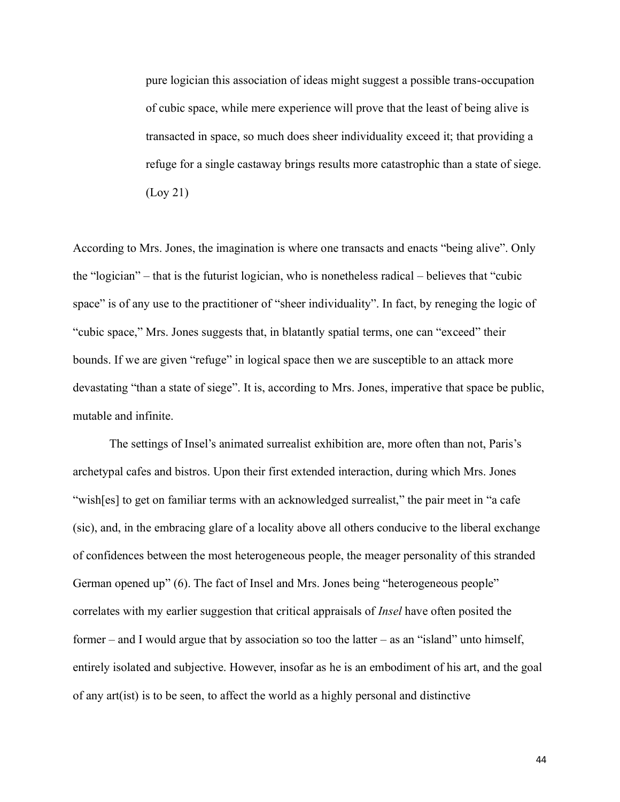pure logician this association of ideas might suggest a possible trans-occupation of cubic space, while mere experience will prove that the least of being alive is transacted in space, so much does sheer individuality exceed it; that providing a refuge for a single castaway brings results more catastrophic than a state of siege. (Loy 21)

According to Mrs. Jones, the imagination is where one transacts and enacts "being alive". Only the "logician" – that is the futurist logician, who is nonetheless radical – believes that "cubic space" is of any use to the practitioner of "sheer individuality". In fact, by reneging the logic of "cubic space," Mrs. Jones suggests that, in blatantly spatial terms, one can "exceed" their bounds. If we are given "refuge" in logical space then we are susceptible to an attack more devastating "than a state of siege". It is, according to Mrs. Jones, imperative that space be public, mutable and infinite.

The settings of Insel's animated surrealist exhibition are, more often than not, Paris's archetypal cafes and bistros. Upon their first extended interaction, during which Mrs. Jones "wish[es] to get on familiar terms with an acknowledged surrealist," the pair meet in "a cafe (sic), and, in the embracing glare of a locality above all others conducive to the liberal exchange of confidences between the most heterogeneous people, the meager personality of this stranded German opened up" (6). The fact of Insel and Mrs. Jones being "heterogeneous people" correlates with my earlier suggestion that critical appraisals of *Insel* have often posited the former – and I would argue that by association so too the latter – as an "island" unto himself, entirely isolated and subjective. However, insofar as he is an embodiment of his art, and the goal of any art(ist) is to be seen, to affect the world as a highly personal and distinctive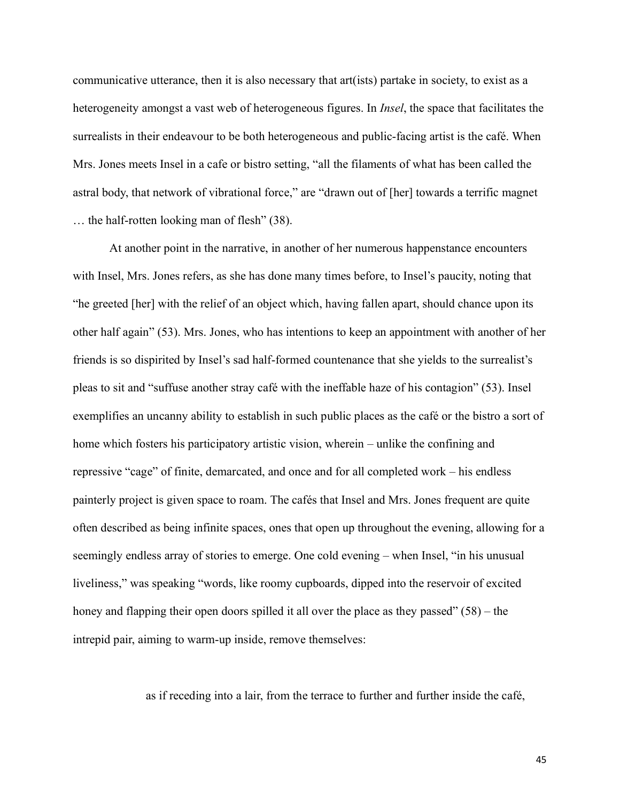communicative utterance, then it is also necessary that art(ists) partake in society, to exist as a heterogeneity amongst a vast web of heterogeneous figures. In *Insel*, the space that facilitates the surrealists in their endeavour to be both heterogeneous and public-facing artist is the café. When Mrs. Jones meets Insel in a cafe or bistro setting, "all the filaments of what has been called the astral body, that network of vibrational force," are "drawn out of [her] towards a terrific magnet … the half-rotten looking man of flesh" (38).

At another point in the narrative, in another of her numerous happenstance encounters with Insel, Mrs. Jones refers, as she has done many times before, to Insel's paucity, noting that "he greeted [her] with the relief of an object which, having fallen apart, should chance upon its other half again" (53). Mrs. Jones, who has intentions to keep an appointment with another of her friends is so dispirited by Insel's sad half-formed countenance that she yields to the surrealist's pleas to sit and "suffuse another stray café with the ineffable haze of his contagion" (53). Insel exemplifies an uncanny ability to establish in such public places as the café or the bistro a sort of home which fosters his participatory artistic vision, wherein – unlike the confining and repressive "cage" of finite, demarcated, and once and for all completed work – his endless painterly project is given space to roam. The cafés that Insel and Mrs. Jones frequent are quite often described as being infinite spaces, ones that open up throughout the evening, allowing for a seemingly endless array of stories to emerge. One cold evening – when Insel, "in his unusual liveliness," was speaking "words, like roomy cupboards, dipped into the reservoir of excited honey and flapping their open doors spilled it all over the place as they passed" (58) – the intrepid pair, aiming to warm-up inside, remove themselves:

as if receding into a lair, from the terrace to further and further inside the café,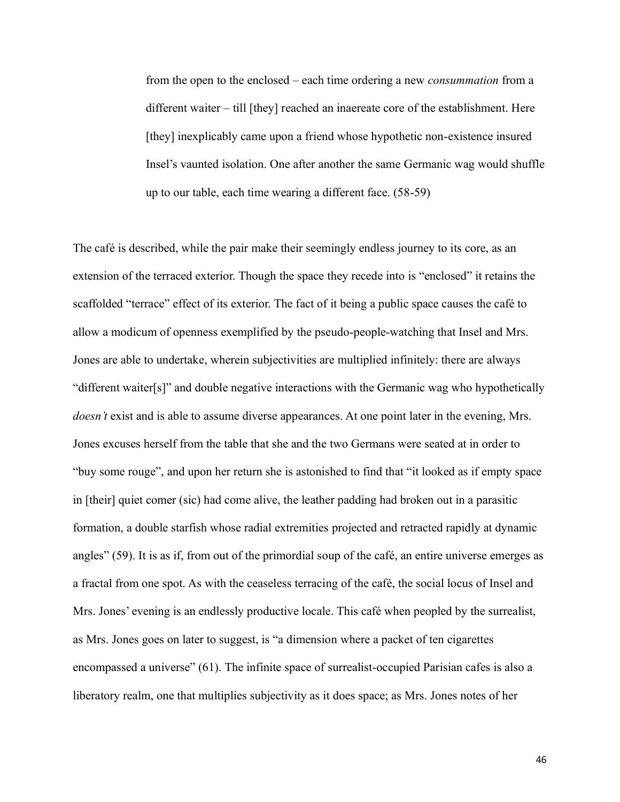from the open to the enclosed – each time ordering a new *consummation* from a different waiter – till [they] reached an inaereate core of the establishment. Here [they] inexplicably came upon a friend whose hypothetic non-existence insured Insel's vaunted isolation. One after another the same Germanic wag would shuffle up to our table, each time wearing a different face. (58-59)

The café is described, while the pair make their seemingly endless journey to its core, as an extension of the terraced exterior. Though the space they recede into is "enclosed" it retains the scaffolded "terrace" effect of its exterior. The fact of it being a public space causes the café to allow a modicum of openness exemplified by the pseudo-people-watching that Insel and Mrs. Jones are able to undertake, wherein subjectivities are multiplied infinitely: there are always "different waiter[s]" and double negative interactions with the Germanic wag who hypothetically *doesn't* exist and is able to assume diverse appearances. At one point later in the evening, Mrs. Jones excuses herself from the table that she and the two Germans were seated at in order to "buy some rouge", and upon her return she is astonished to find that "it looked as if empty space in [their] quiet comer (sic) had come alive, the leather padding had broken out in a parasitic formation, a double starfish whose radial extremities projected and retracted rapidly at dynamic angles" (59). It is as if, from out of the primordial soup of the café, an entire universe emerges as a fractal from one spot. As with the ceaseless terracing of the café, the social locus of Insel and Mrs. Jones' evening is an endlessly productive locale. This café when peopled by the surrealist, as Mrs. Jones goes on later to suggest, is "a dimension where a packet of ten cigarettes encompassed a universe" (61). The infinite space of surrealist-occupied Parisian cafes is also a liberatory realm, one that multiplies subjectivity as it does space; as Mrs. Jones notes of her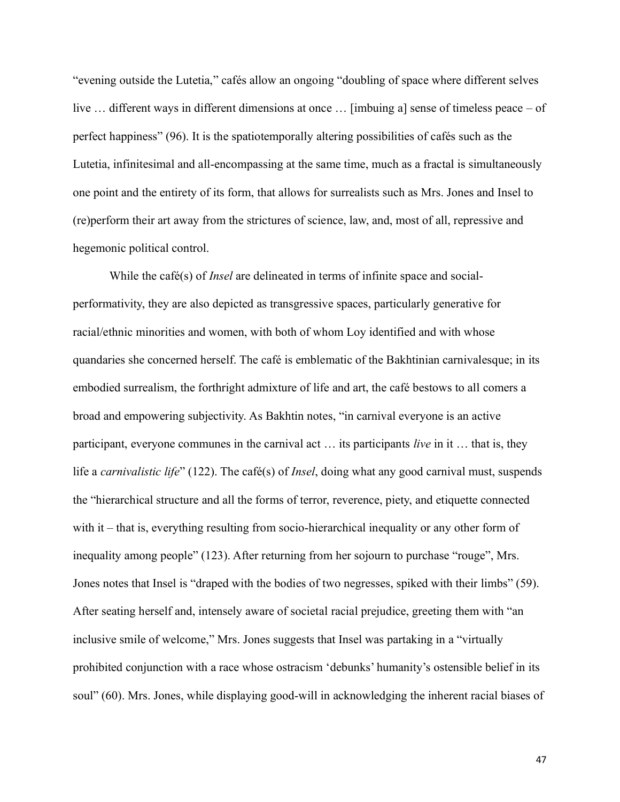"evening outside the Lutetia," cafés allow an ongoing "doubling of space where different selves live … different ways in different dimensions at once … [imbuing a] sense of timeless peace – of perfect happiness" (96). It is the spatiotemporally altering possibilities of cafés such as the Lutetia, infinitesimal and all-encompassing at the same time, much as a fractal is simultaneously one point and the entirety of its form, that allows for surrealists such as Mrs. Jones and Insel to (re)perform their art away from the strictures of science, law, and, most of all, repressive and hegemonic political control.

While the café(s) of *Insel* are delineated in terms of infinite space and socialperformativity, they are also depicted as transgressive spaces, particularly generative for racial/ethnic minorities and women, with both of whom Loy identified and with whose quandaries she concerned herself. The café is emblematic of the Bakhtinian carnivalesque; in its embodied surrealism, the forthright admixture of life and art, the café bestows to all comers a broad and empowering subjectivity. As Bakhtin notes, "in carnival everyone is an active participant, everyone communes in the carnival act … its participants *live* in it … that is, they life a *carnivalistic life*" (122). The café(s) of *Insel*, doing what any good carnival must, suspends the "hierarchical structure and all the forms of terror, reverence, piety, and etiquette connected with it – that is, everything resulting from socio-hierarchical inequality or any other form of inequality among people" (123). After returning from her sojourn to purchase "rouge", Mrs. Jones notes that Insel is "draped with the bodies of two negresses, spiked with their limbs" (59). After seating herself and, intensely aware of societal racial prejudice, greeting them with "an inclusive smile of welcome," Mrs. Jones suggests that Insel was partaking in a "virtually prohibited conjunction with a race whose ostracism 'debunks' humanity's ostensible belief in its soul" (60). Mrs. Jones, while displaying good-will in acknowledging the inherent racial biases of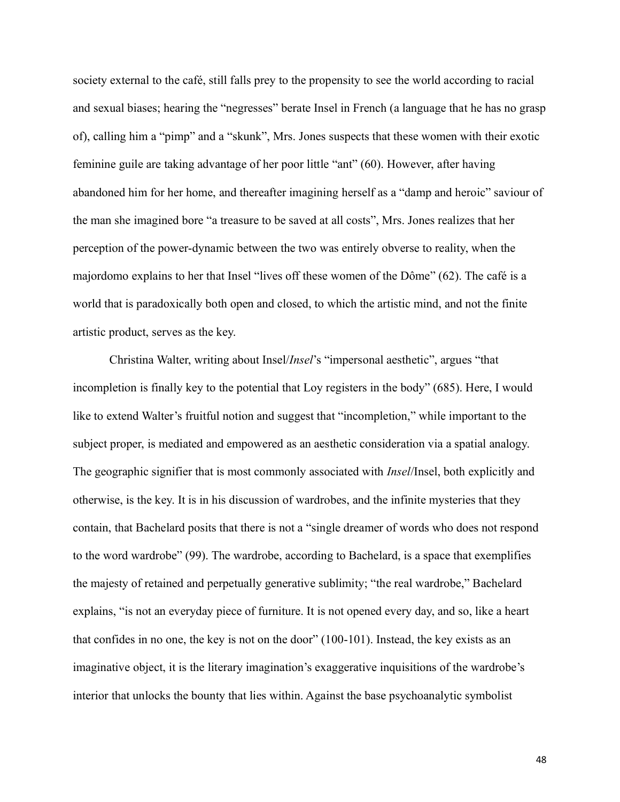society external to the café, still falls prey to the propensity to see the world according to racial and sexual biases; hearing the "negresses" berate Insel in French (a language that he has no grasp of), calling him a "pimp" and a "skunk", Mrs. Jones suspects that these women with their exotic feminine guile are taking advantage of her poor little "ant" (60). However, after having abandoned him for her home, and thereafter imagining herself as a "damp and heroic" saviour of the man she imagined bore "a treasure to be saved at all costs", Mrs. Jones realizes that her perception of the power-dynamic between the two was entirely obverse to reality, when the majordomo explains to her that Insel "lives off these women of the Dôme" (62). The café is a world that is paradoxically both open and closed, to which the artistic mind, and not the finite artistic product, serves as the key.

Christina Walter, writing about Insel/*Insel*'s "impersonal aesthetic", argues "that incompletion is finally key to the potential that Loy registers in the body" (685). Here, I would like to extend Walter's fruitful notion and suggest that "incompletion," while important to the subject proper, is mediated and empowered as an aesthetic consideration via a spatial analogy. The geographic signifier that is most commonly associated with *Insel*/Insel, both explicitly and otherwise, is the key. It is in his discussion of wardrobes, and the infinite mysteries that they contain, that Bachelard posits that there is not a "single dreamer of words who does not respond to the word wardrobe" (99). The wardrobe, according to Bachelard, is a space that exemplifies the majesty of retained and perpetually generative sublimity; "the real wardrobe," Bachelard explains, "is not an everyday piece of furniture. It is not opened every day, and so, like a heart that confides in no one, the key is not on the door" (100-101). Instead, the key exists as an imaginative object, it is the literary imagination's exaggerative inquisitions of the wardrobe's interior that unlocks the bounty that lies within. Against the base psychoanalytic symbolist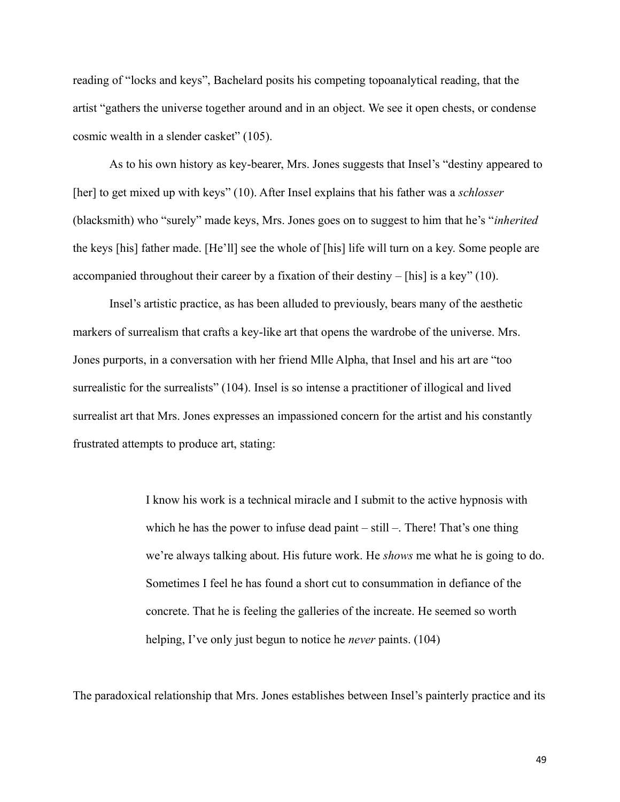reading of "locks and keys", Bachelard posits his competing topoanalytical reading, that the artist "gathers the universe together around and in an object. We see it open chests, or condense cosmic wealth in a slender casket" (105).

As to his own history as key-bearer, Mrs. Jones suggests that Insel's "destiny appeared to [her] to get mixed up with keys" (10). After Insel explains that his father was a *schlosser* (blacksmith) who "surely" made keys, Mrs. Jones goes on to suggest to him that he's "*inherited*  the keys [his] father made. [He'll] see the whole of [his] life will turn on a key. Some people are accompanied throughout their career by a fixation of their destiny – [his] is a key" (10).

Insel's artistic practice, as has been alluded to previously, bears many of the aesthetic markers of surrealism that crafts a key-like art that opens the wardrobe of the universe. Mrs. Jones purports, in a conversation with her friend Mlle Alpha, that Insel and his art are "too surrealistic for the surrealists" (104). Insel is so intense a practitioner of illogical and lived surrealist art that Mrs. Jones expresses an impassioned concern for the artist and his constantly frustrated attempts to produce art, stating:

> I know his work is a technical miracle and I submit to the active hypnosis with which he has the power to infuse dead paint – still –. There! That's one thing we're always talking about. His future work. He *shows* me what he is going to do. Sometimes I feel he has found a short cut to consummation in defiance of the concrete. That he is feeling the galleries of the increate. He seemed so worth helping, I've only just begun to notice he *never* paints. (104)

The paradoxical relationship that Mrs. Jones establishes between Insel's painterly practice and its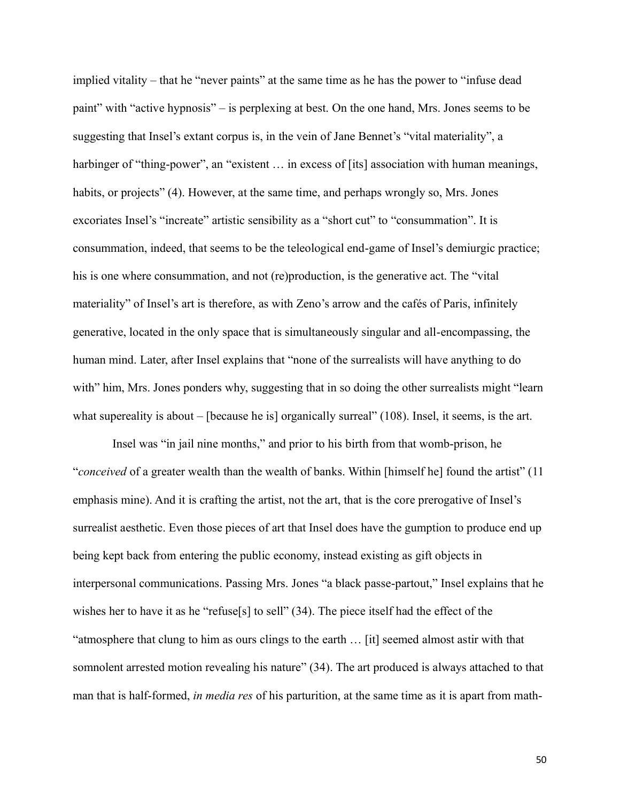implied vitality – that he "never paints" at the same time as he has the power to "infuse dead paint" with "active hypnosis" – is perplexing at best. On the one hand, Mrs. Jones seems to be suggesting that Insel's extant corpus is, in the vein of Jane Bennet's "vital materiality", a harbinger of "thing-power", an "existent ... in excess of [its] association with human meanings, habits, or projects" (4). However, at the same time, and perhaps wrongly so, Mrs. Jones excoriates Insel's "increate" artistic sensibility as a "short cut" to "consummation". It is consummation, indeed, that seems to be the teleological end-game of Insel's demiurgic practice; his is one where consummation, and not (re)production, is the generative act. The "vital materiality" of Insel's art is therefore, as with Zeno's arrow and the cafés of Paris, infinitely generative, located in the only space that is simultaneously singular and all-encompassing, the human mind. Later, after Insel explains that "none of the surrealists will have anything to do with" him, Mrs. Jones ponders why, suggesting that in so doing the other surrealists might "learn" what supereality is about – [because he is] organically surreal" (108). Insel, it seems, is the art.

Insel was "in jail nine months," and prior to his birth from that womb-prison, he "*conceived* of a greater wealth than the wealth of banks. Within [himself he] found the artist" (11 emphasis mine). And it is crafting the artist, not the art, that is the core prerogative of Insel's surrealist aesthetic. Even those pieces of art that Insel does have the gumption to produce end up being kept back from entering the public economy, instead existing as gift objects in interpersonal communications. Passing Mrs. Jones "a black passe-partout," Insel explains that he wishes her to have it as he "refuse[s] to sell" (34). The piece itself had the effect of the "atmosphere that clung to him as ours clings to the earth … [it] seemed almost astir with that somnolent arrested motion revealing his nature" (34). The art produced is always attached to that man that is half-formed, *in media res* of his parturition, at the same time as it is apart from math-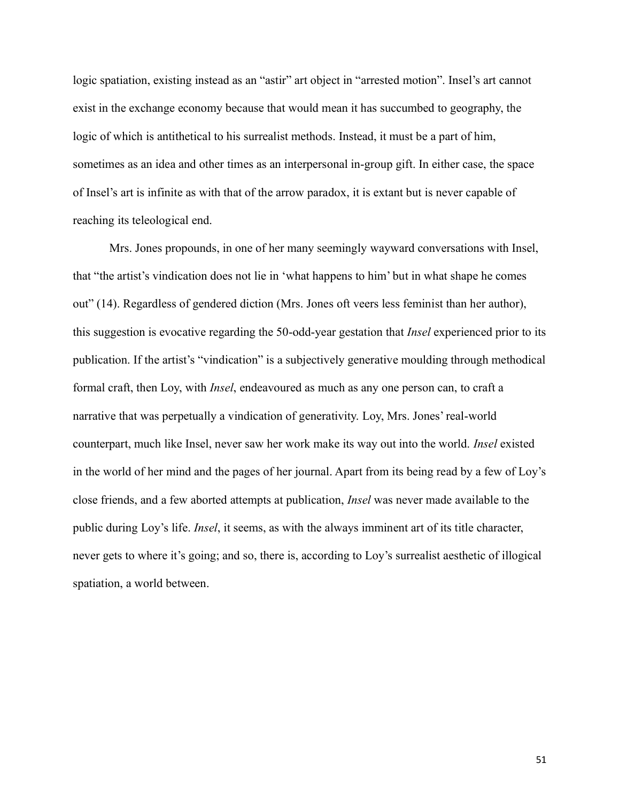logic spatiation, existing instead as an "astir" art object in "arrested motion". Insel's art cannot exist in the exchange economy because that would mean it has succumbed to geography, the logic of which is antithetical to his surrealist methods. Instead, it must be a part of him, sometimes as an idea and other times as an interpersonal in-group gift. In either case, the space of Insel's art is infinite as with that of the arrow paradox, it is extant but is never capable of reaching its teleological end.

Mrs. Jones propounds, in one of her many seemingly wayward conversations with Insel, that "the artist's vindication does not lie in 'what happens to him' but in what shape he comes out" (14). Regardless of gendered diction (Mrs. Jones oft veers less feminist than her author), this suggestion is evocative regarding the 50-odd-year gestation that *Insel* experienced prior to its publication. If the artist's "vindication" is a subjectively generative moulding through methodical formal craft, then Loy, with *Insel*, endeavoured as much as any one person can, to craft a narrative that was perpetually a vindication of generativity. Loy, Mrs. Jones' real-world counterpart, much like Insel, never saw her work make its way out into the world. *Insel* existed in the world of her mind and the pages of her journal. Apart from its being read by a few of Loy's close friends, and a few aborted attempts at publication, *Insel* was never made available to the public during Loy's life. *Insel*, it seems, as with the always imminent art of its title character, never gets to where it's going; and so, there is, according to Loy's surrealist aesthetic of illogical spatiation, a world between.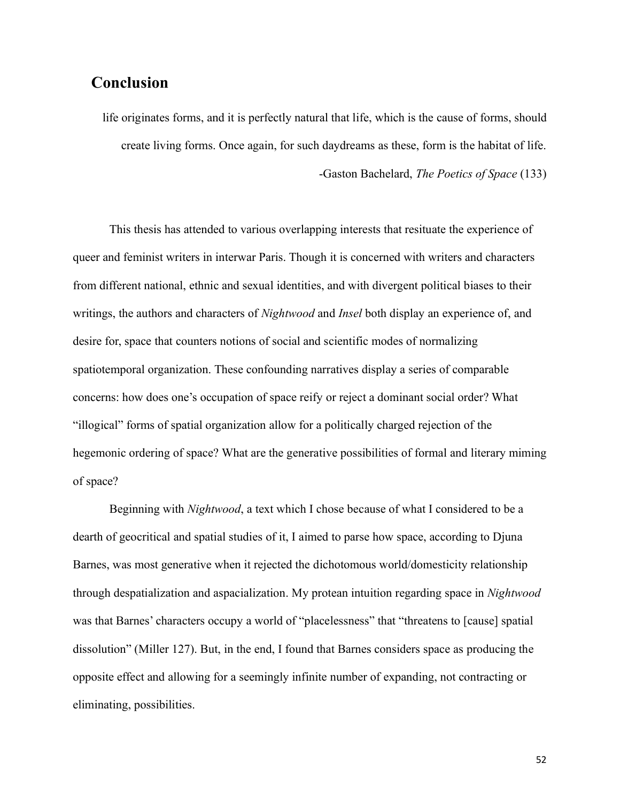# **Conclusion**

life originates forms, and it is perfectly natural that life, which is the cause of forms, should create living forms. Once again, for such daydreams as these, form is the habitat of life. -Gaston Bachelard, *The Poetics of Space* (133)

This thesis has attended to various overlapping interests that resituate the experience of queer and feminist writers in interwar Paris. Though it is concerned with writers and characters from different national, ethnic and sexual identities, and with divergent political biases to their writings, the authors and characters of *Nightwood* and *Insel* both display an experience of, and desire for, space that counters notions of social and scientific modes of normalizing spatiotemporal organization. These confounding narratives display a series of comparable concerns: how does one's occupation of space reify or reject a dominant social order? What "illogical" forms of spatial organization allow for a politically charged rejection of the hegemonic ordering of space? What are the generative possibilities of formal and literary miming of space?

Beginning with *Nightwood*, a text which I chose because of what I considered to be a dearth of geocritical and spatial studies of it, I aimed to parse how space, according to Djuna Barnes, was most generative when it rejected the dichotomous world/domesticity relationship through despatialization and aspacialization. My protean intuition regarding space in *Nightwood*  was that Barnes' characters occupy a world of "placelessness" that "threatens to [cause] spatial dissolution" (Miller 127). But, in the end, I found that Barnes considers space as producing the opposite effect and allowing for a seemingly infinite number of expanding, not contracting or eliminating, possibilities.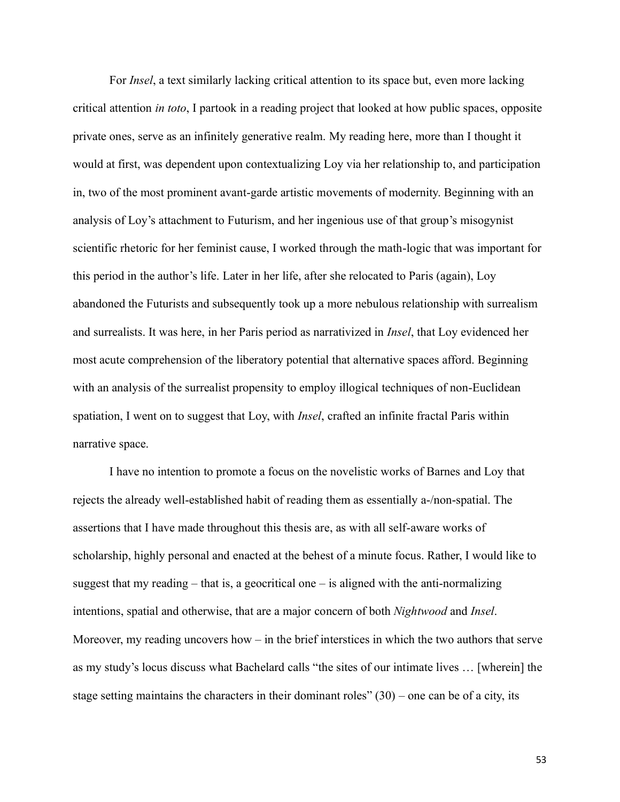For *Insel*, a text similarly lacking critical attention to its space but, even more lacking critical attention *in toto*, I partook in a reading project that looked at how public spaces, opposite private ones, serve as an infinitely generative realm. My reading here, more than I thought it would at first, was dependent upon contextualizing Loy via her relationship to, and participation in, two of the most prominent avant-garde artistic movements of modernity. Beginning with an analysis of Loy's attachment to Futurism, and her ingenious use of that group's misogynist scientific rhetoric for her feminist cause, I worked through the math-logic that was important for this period in the author's life. Later in her life, after she relocated to Paris (again), Loy abandoned the Futurists and subsequently took up a more nebulous relationship with surrealism and surrealists. It was here, in her Paris period as narrativized in *Insel*, that Loy evidenced her most acute comprehension of the liberatory potential that alternative spaces afford. Beginning with an analysis of the surrealist propensity to employ illogical techniques of non-Euclidean spatiation, I went on to suggest that Loy, with *Insel*, crafted an infinite fractal Paris within narrative space.

I have no intention to promote a focus on the novelistic works of Barnes and Loy that rejects the already well-established habit of reading them as essentially a-/non-spatial. The assertions that I have made throughout this thesis are, as with all self-aware works of scholarship, highly personal and enacted at the behest of a minute focus. Rather, I would like to suggest that my reading  $-$  that is, a geocritical one  $-$  is aligned with the anti-normalizing intentions, spatial and otherwise, that are a major concern of both *Nightwood* and *Insel*. Moreover, my reading uncovers how – in the brief interstices in which the two authors that serve as my study's locus discuss what Bachelard calls "the sites of our intimate lives … [wherein] the stage setting maintains the characters in their dominant roles"  $(30)$  – one can be of a city, its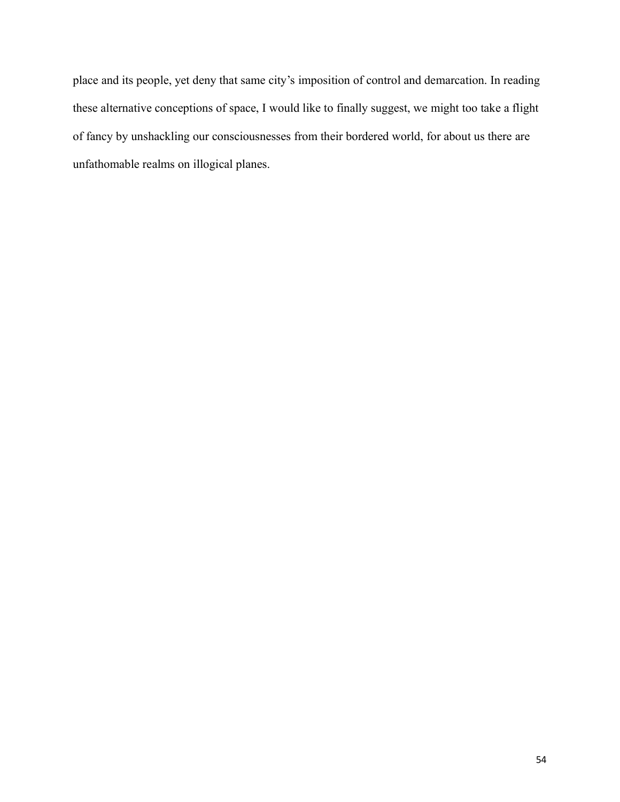place and its people, yet deny that same city's imposition of control and demarcation. In reading these alternative conceptions of space, I would like to finally suggest, we might too take a flight of fancy by unshackling our consciousnesses from their bordered world, for about us there are unfathomable realms on illogical planes.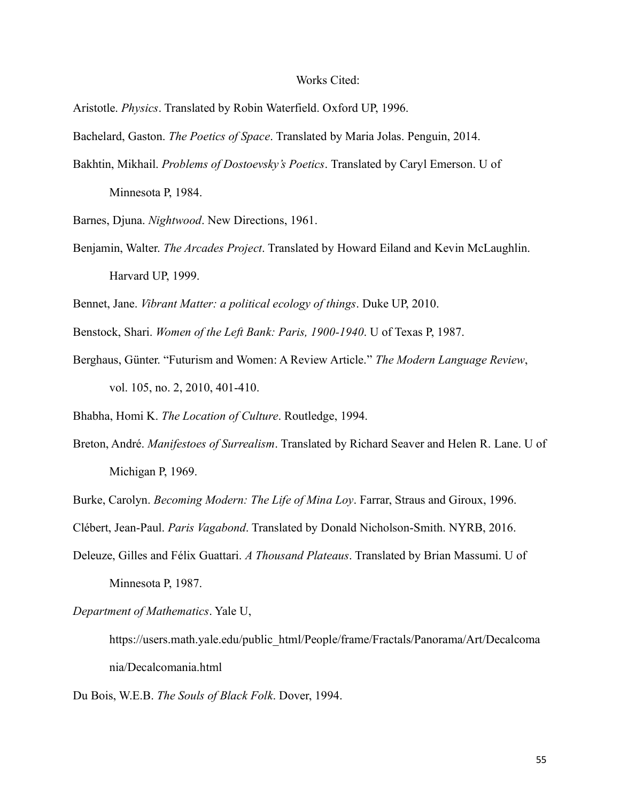#### Works Cited:

Aristotle. *Physics*. Translated by Robin Waterfield. Oxford UP, 1996.

Bachelard, Gaston. *The Poetics of Space*. Translated by Maria Jolas. Penguin, 2014.

Bakhtin, Mikhail. *Problems of Dostoevsky's Poetics*. Translated by Caryl Emerson. U of Minnesota P, 1984.

Barnes, Djuna. *Nightwood*. New Directions, 1961.

Benjamin, Walter. *The Arcades Project*. Translated by Howard Eiland and Kevin McLaughlin. Harvard UP, 1999.

Bennet, Jane. *Vibrant Matter: a political ecology of things*. Duke UP, 2010.

- Benstock, Shari. *Women of the Left Bank: Paris, 1900-1940*. U of Texas P, 1987.
- Berghaus, Günter. "Futurism and Women: A Review Article." *The Modern Language Review*, vol. 105, no. 2, 2010, 401-410.

Bhabha, Homi K. *The Location of Culture*. Routledge, 1994.

Breton, André. *Manifestoes of Surrealism*. Translated by Richard Seaver and Helen R. Lane. U of Michigan P, 1969.

Burke, Carolyn. *Becoming Modern: The Life of Mina Loy*. Farrar, Straus and Giroux, 1996.

Clébert, Jean-Paul. *Paris Vagabond*. Translated by Donald Nicholson-Smith. NYRB, 2016.

Deleuze, Gilles and Félix Guattari. *A Thousand Plateaus*. Translated by Brian Massumi. U of Minnesota P, 1987.

*Department of Mathematics*. Yale U,

https://users.math.yale.edu/public\_html/People/frame/Fractals/Panorama/Art/Decalcoma nia/Decalcomania.html

Du Bois, W.E.B. *The Souls of Black Folk*. Dover, 1994.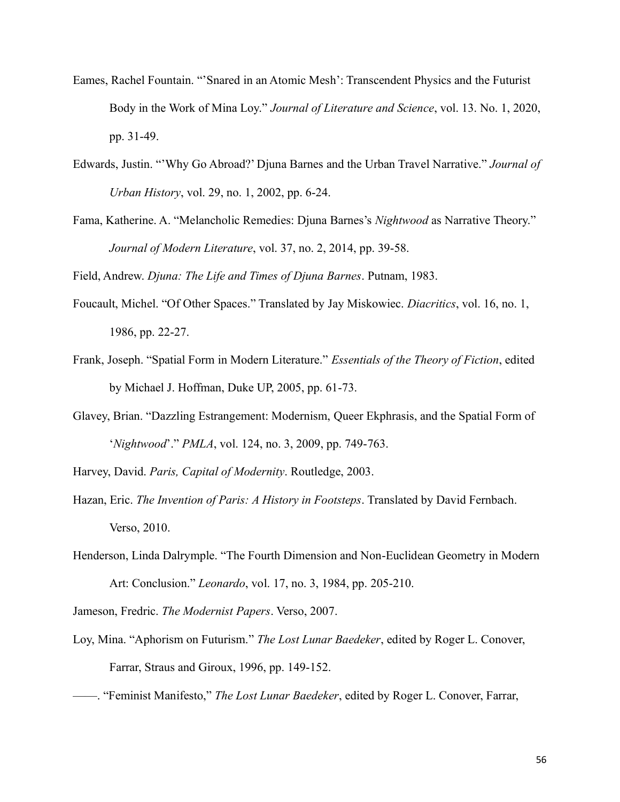- Eames, Rachel Fountain. "'Snared in an Atomic Mesh': Transcendent Physics and the Futurist Body in the Work of Mina Loy." *Journal of Literature and Science*, vol. 13. No. 1, 2020, pp. 31-49.
- Edwards, Justin. "'Why Go Abroad?' Djuna Barnes and the Urban Travel Narrative." *Journal of Urban History*, vol. 29, no. 1, 2002, pp. 6-24.
- Fama, Katherine. A. "Melancholic Remedies: Djuna Barnes's *Nightwood* as Narrative Theory." *Journal of Modern Literature*, vol. 37, no. 2, 2014, pp. 39-58.

Field, Andrew. *Djuna: The Life and Times of Djuna Barnes*. Putnam, 1983.

- Foucault, Michel. "Of Other Spaces." Translated by Jay Miskowiec. *Diacritics*, vol. 16, no. 1, 1986, pp. 22-27.
- Frank, Joseph. "Spatial Form in Modern Literature." *Essentials of the Theory of Fiction*, edited by Michael J. Hoffman, Duke UP, 2005, pp. 61-73.
- Glavey, Brian. "Dazzling Estrangement: Modernism, Queer Ekphrasis, and the Spatial Form of '*Nightwood*'." *PMLA*, vol. 124, no. 3, 2009, pp. 749-763.
- Harvey, David. *Paris, Capital of Modernity*. Routledge, 2003.
- Hazan, Eric. *The Invention of Paris: A History in Footsteps*. Translated by David Fernbach. Verso, 2010.
- Henderson, Linda Dalrymple. "The Fourth Dimension and Non-Euclidean Geometry in Modern Art: Conclusion." *Leonardo*, vol. 17, no. 3, 1984, pp. 205-210.

Jameson, Fredric. *The Modernist Papers*. Verso, 2007.

- Loy, Mina. "Aphorism on Futurism." *The Lost Lunar Baedeker*, edited by Roger L. Conover, Farrar, Straus and Giroux, 1996, pp. 149-152.
- ——. "Feminist Manifesto," *The Lost Lunar Baedeker*, edited by Roger L. Conover, Farrar,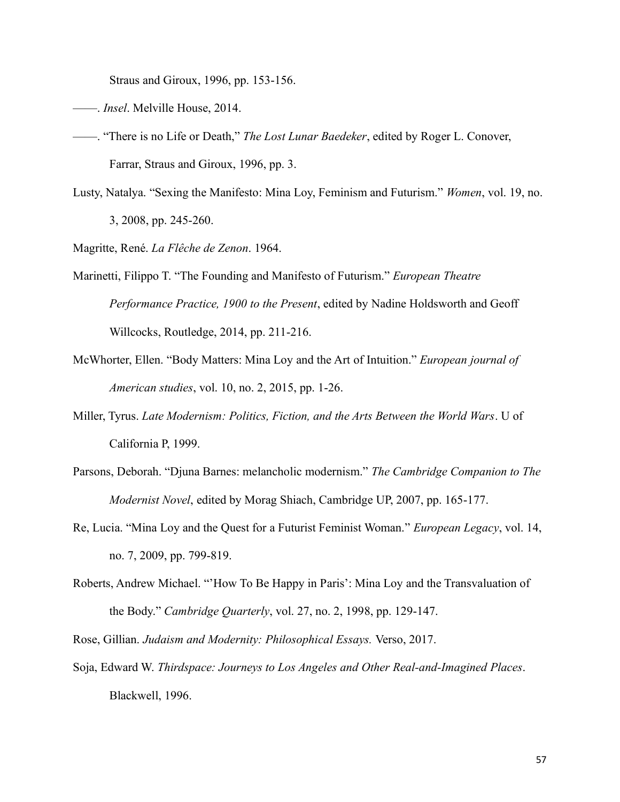Straus and Giroux, 1996, pp. 153-156.

- ——. *Insel*. Melville House, 2014.
- ——. "There is no Life or Death," *The Lost Lunar Baedeker*, edited by Roger L. Conover, Farrar, Straus and Giroux, 1996, pp. 3.
- Lusty, Natalya. "Sexing the Manifesto: Mina Loy, Feminism and Futurism." *Women*, vol. 19, no. 3, 2008, pp. 245-260.
- Magritte, René. *La Flêche de Zenon*. 1964.
- Marinetti, Filippo T. "The Founding and Manifesto of Futurism." *European Theatre Performance Practice, 1900 to the Present*, edited by Nadine Holdsworth and Geoff Willcocks, Routledge, 2014, pp. 211-216.
- McWhorter, Ellen. "Body Matters: Mina Loy and the Art of Intuition." *European journal of American studies*, vol. 10, no. 2, 2015, pp. 1-26.
- Miller, Tyrus. *Late Modernism: Politics, Fiction, and the Arts Between the World Wars*. U of California P, 1999.
- Parsons, Deborah. "Djuna Barnes: melancholic modernism." *The Cambridge Companion to The Modernist Novel*, edited by Morag Shiach, Cambridge UP, 2007, pp. 165-177.
- Re, Lucia. "Mina Loy and the Quest for a Futurist Feminist Woman." *European Legacy*, vol. 14, no. 7, 2009, pp. 799-819.
- Roberts, Andrew Michael. "'How To Be Happy in Paris': Mina Loy and the Transvaluation of the Body." *Cambridge Quarterly*, vol. 27, no. 2, 1998, pp. 129-147.
- Rose, Gillian. *Judaism and Modernity: Philosophical Essays.* Verso, 2017.
- Soja, Edward W. *Thirdspace: Journeys to Los Angeles and Other Real-and-Imagined Places*. Blackwell, 1996.